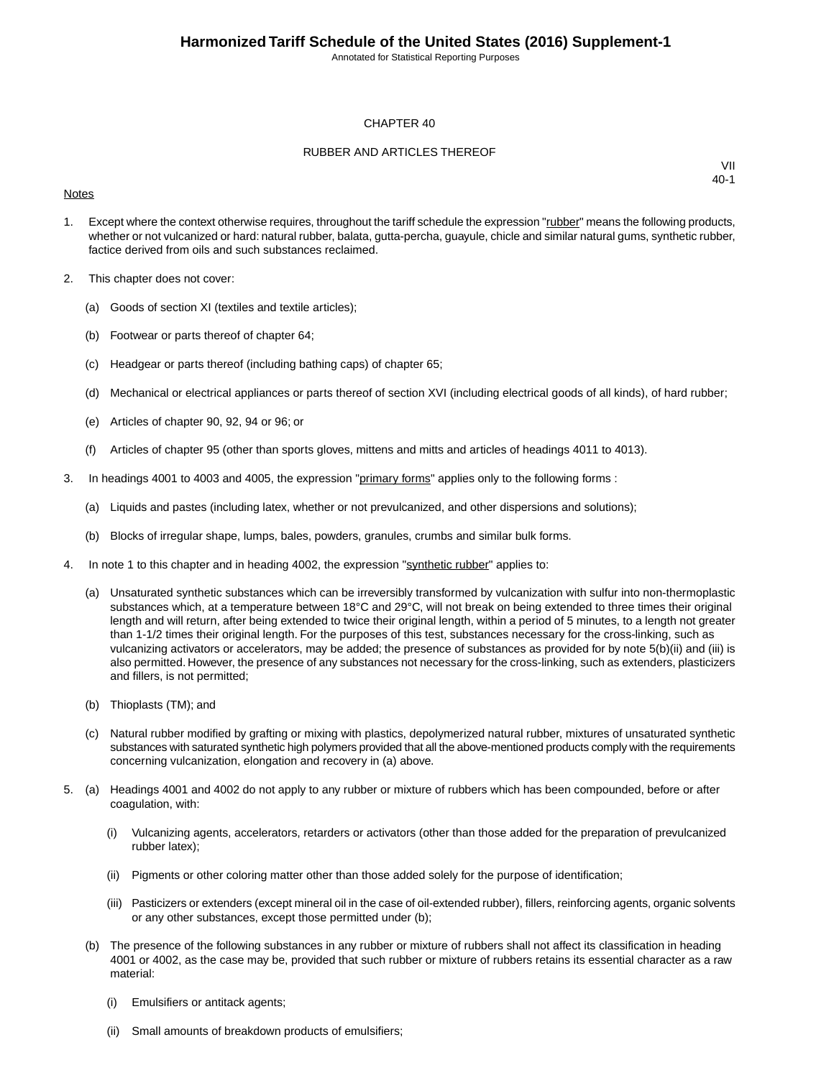Annotated for Statistical Reporting Purposes

#### CHAPTER 40

#### RUBBER AND ARTICLES THEREOF

#### **Notes**

- 1. Except where the context otherwise requires, throughout the tariff schedule the expression "rubber" means the following products, whether or not vulcanized or hard: natural rubber, balata, gutta-percha, guayule, chicle and similar natural gums, synthetic rubber, factice derived from oils and such substances reclaimed.
- 2. This chapter does not cover:
	- (a) Goods of section XI (textiles and textile articles);
	- (b) Footwear or parts thereof of chapter 64;
	- (c) Headgear or parts thereof (including bathing caps) of chapter 65;
	- (d) Mechanical or electrical appliances or parts thereof of section XVI (including electrical goods of all kinds), of hard rubber;
	- (e) Articles of chapter 90, 92, 94 or 96; or
	- (f) Articles of chapter 95 (other than sports gloves, mittens and mitts and articles of headings 4011 to 4013).
- 3. In headings 4001 to 4003 and 4005, the expression "primary forms" applies only to the following forms :
	- (a) Liquids and pastes (including latex, whether or not prevulcanized, and other dispersions and solutions);
	- (b) Blocks of irregular shape, lumps, bales, powders, granules, crumbs and similar bulk forms.
- 4. In note 1 to this chapter and in heading 4002, the expression "synthetic rubber" applies to:
	- (a) Unsaturated synthetic substances which can be irreversibly transformed by vulcanization with sulfur into non-thermoplastic substances which, at a temperature between 18°C and 29°C, will not break on being extended to three times their original length and will return, after being extended to twice their original length, within a period of 5 minutes, to a length not greater than 1-1/2 times their original length. For the purposes of this test, substances necessary for the cross-linking, such as vulcanizing activators or accelerators, may be added; the presence of substances as provided for by note 5(b)(ii) and (iii) is also permitted. However, the presence of any substances not necessary for the cross-linking, such as extenders, plasticizers and fillers, is not permitted;
	- (b) Thioplasts (TM); and
	- (c) Natural rubber modified by grafting or mixing with plastics, depolymerized natural rubber, mixtures of unsaturated synthetic substances with saturated synthetic high polymers provided that all the above-mentioned products comply with the requirements concerning vulcanization, elongation and recovery in (a) above.
- 5. (a) Headings 4001 and 4002 do not apply to any rubber or mixture of rubbers which has been compounded, before or after coagulation, with:
	- (i) Vulcanizing agents, accelerators, retarders or activators (other than those added for the preparation of prevulcanized rubber latex);
	- (ii) Pigments or other coloring matter other than those added solely for the purpose of identification;
	- (iii) Pasticizers or extenders (except mineral oil in the case of oil-extended rubber), fillers, reinforcing agents, organic solvents or any other substances, except those permitted under (b);
	- (b) The presence of the following substances in any rubber or mixture of rubbers shall not affect its classification in heading 4001 or 4002, as the case may be, provided that such rubber or mixture of rubbers retains its essential character as a raw material:
		- (i) Emulsifiers or antitack agents;
		- (ii) Small amounts of breakdown products of emulsifiers;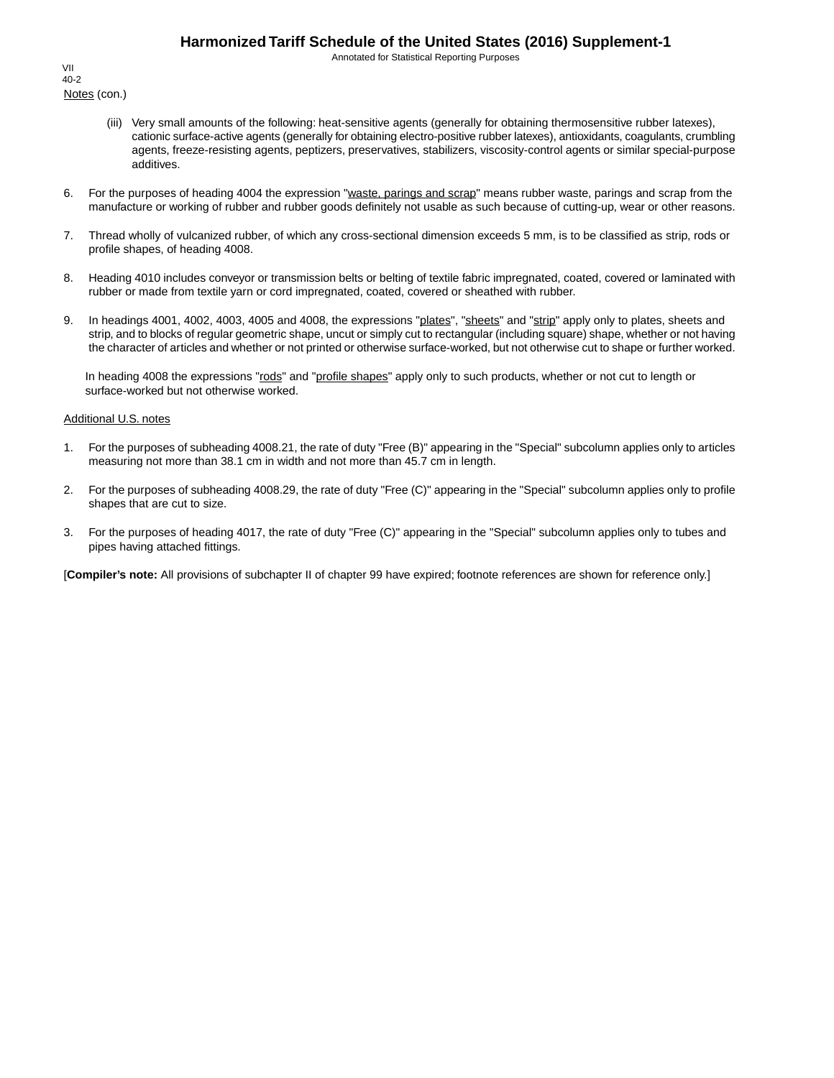Annotated for Statistical Reporting Purposes

Notes (con.) VII 40-2

- (iii) Very small amounts of the following: heat-sensitive agents (generally for obtaining thermosensitive rubber latexes), cationic surface-active agents (generally for obtaining electro-positive rubber latexes), antioxidants, coagulants, crumbling agents, freeze-resisting agents, peptizers, preservatives, stabilizers, viscosity-control agents or similar special-purpose additives.
- 6. For the purposes of heading 4004 the expression "waste, parings and scrap" means rubber waste, parings and scrap from the manufacture or working of rubber and rubber goods definitely not usable as such because of cutting-up, wear or other reasons.
- 7. Thread wholly of vulcanized rubber, of which any cross-sectional dimension exceeds 5 mm, is to be classified as strip, rods or profile shapes, of heading 4008.
- 8. Heading 4010 includes conveyor or transmission belts or belting of textile fabric impregnated, coated, covered or laminated with rubber or made from textile yarn or cord impregnated, coated, covered or sheathed with rubber.
- 9. In headings 4001, 4002, 4003, 4005 and 4008, the expressions "plates", "sheets" and "strip" apply only to plates, sheets and strip, and to blocks of regular geometric shape, uncut or simply cut to rectangular (including square) shape, whether or not having the character of articles and whether or not printed or otherwise surface-worked, but not otherwise cut to shape or further worked.

In heading 4008 the expressions "rods" and "profile shapes" apply only to such products, whether or not cut to length or surface-worked but not otherwise worked.

#### Additional U.S. notes

- 1. For the purposes of subheading 4008.21, the rate of duty "Free (B)" appearing in the "Special" subcolumn applies only to articles measuring not more than 38.1 cm in width and not more than 45.7 cm in length.
- 2. For the purposes of subheading 4008.29, the rate of duty "Free (C)" appearing in the "Special" subcolumn applies only to profile shapes that are cut to size.
- 3. For the purposes of heading 4017, the rate of duty "Free (C)" appearing in the "Special" subcolumn applies only to tubes and pipes having attached fittings.

[**Compiler's note:** All provisions of subchapter II of chapter 99 have expired; footnote references are shown for reference only.]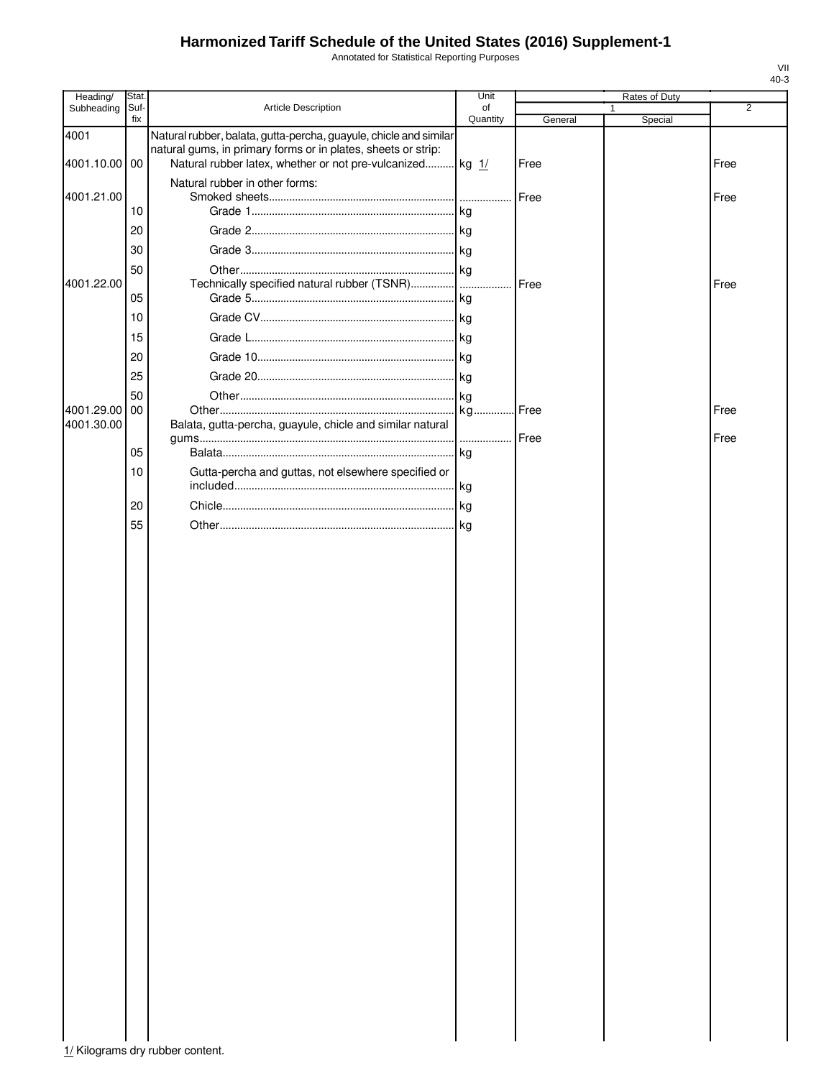Annotated for Statistical Reporting Purposes

| Heading/              | Stat.       |                                                                                                                                                                                                 | Unit           |             | Rates of Duty |                |
|-----------------------|-------------|-------------------------------------------------------------------------------------------------------------------------------------------------------------------------------------------------|----------------|-------------|---------------|----------------|
| Subheading            | Suf-<br>fix | Article Description                                                                                                                                                                             | of<br>Quantity | General     | 1<br>Special  | $\overline{2}$ |
| 4001<br>4001.10.00 00 |             | Natural rubber, balata, gutta-percha, guayule, chicle and similar<br>natural gums, in primary forms or in plates, sheets or strip:<br>Natural rubber latex, whether or not pre-vulcanized kg 1/ |                | Free        |               | Free           |
| 4001.21.00            |             | Natural rubber in other forms:                                                                                                                                                                  |                | Free        |               | Free           |
|                       | 10          |                                                                                                                                                                                                 |                |             |               |                |
|                       | 20          |                                                                                                                                                                                                 |                |             |               |                |
|                       | 30          |                                                                                                                                                                                                 |                |             |               |                |
| 4001.22.00            | 50          |                                                                                                                                                                                                 | .              | <b>Free</b> |               | Free           |
|                       | 05          |                                                                                                                                                                                                 |                |             |               |                |
|                       | 10          |                                                                                                                                                                                                 |                |             |               |                |
|                       | 15          |                                                                                                                                                                                                 |                |             |               |                |
|                       | 20          |                                                                                                                                                                                                 |                |             |               |                |
|                       | 25          |                                                                                                                                                                                                 |                |             |               |                |
|                       | 50          |                                                                                                                                                                                                 |                |             |               |                |
| 4001.29.00            | 00          |                                                                                                                                                                                                 | kg Free        |             |               | Free           |
| 4001.30.00            |             | Balata, gutta-percha, guayule, chicle and similar natural                                                                                                                                       | .              | Free        |               | Free           |
|                       | 05          |                                                                                                                                                                                                 | .Ikg           |             |               |                |
|                       | 10          | Gutta-percha and guttas, not elsewhere specified or                                                                                                                                             |                |             |               |                |
|                       | 20          |                                                                                                                                                                                                 |                |             |               |                |
|                       | 55          |                                                                                                                                                                                                 |                |             |               |                |
|                       |             |                                                                                                                                                                                                 |                |             |               |                |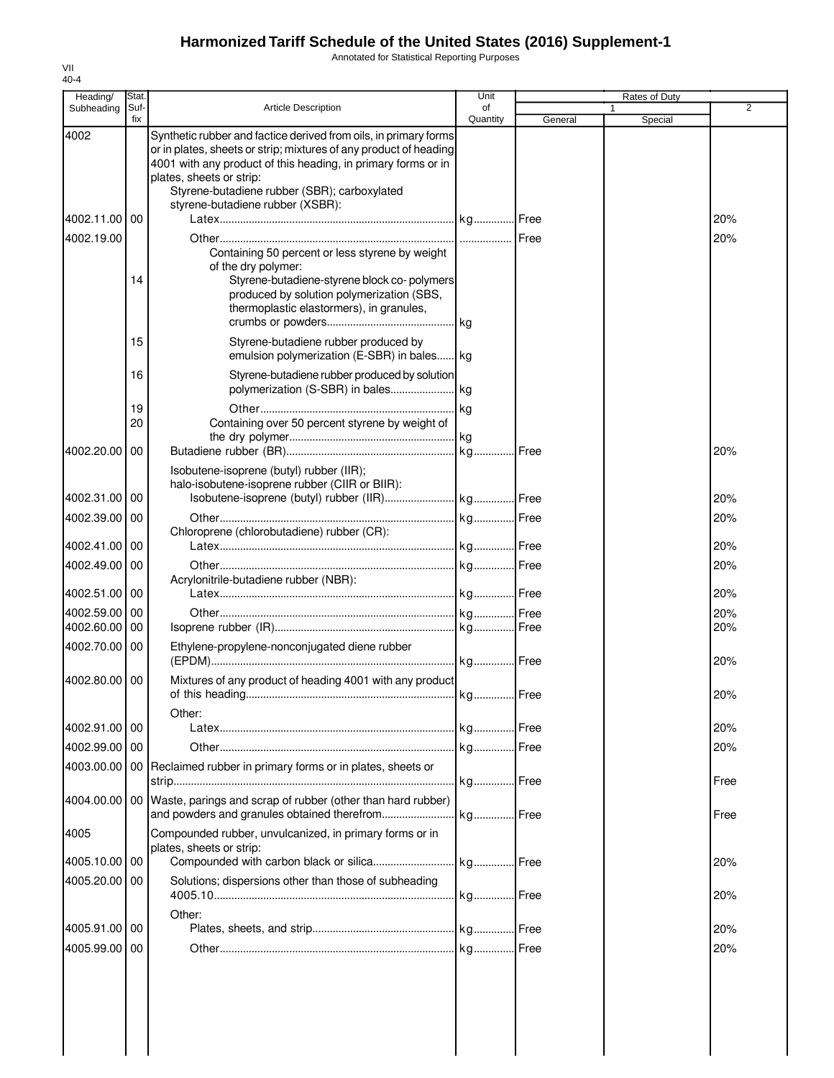Annotated for Statistical Reporting Purposes

| Heading/      | Stat.          |                                                                                                                                                                                                                                                                                                                        | Unit           |             | Rates of Duty |                |
|---------------|----------------|------------------------------------------------------------------------------------------------------------------------------------------------------------------------------------------------------------------------------------------------------------------------------------------------------------------------|----------------|-------------|---------------|----------------|
| Subheading    | Suf-<br>fix    | <b>Article Description</b>                                                                                                                                                                                                                                                                                             | of<br>Quantity | General     | Special       | $\overline{2}$ |
| 4002          |                | Synthetic rubber and factice derived from oils, in primary forms<br>or in plates, sheets or strip; mixtures of any product of heading<br>4001 with any product of this heading, in primary forms or in<br>plates, sheets or strip:<br>Styrene-butadiene rubber (SBR); carboxylated<br>styrene-butadiene rubber (XSBR): |                |             |               |                |
| 4002.11.00    | 00             |                                                                                                                                                                                                                                                                                                                        |                |             |               | 20%            |
| 4002.19.00    | 14             | Containing 50 percent or less styrene by weight<br>of the dry polymer:<br>Styrene-butadiene-styrene block co-polymers<br>produced by solution polymerization (SBS,<br>thermoplastic elastormers), in granules,                                                                                                         | kg             |             |               | 20%            |
|               | 15             | Styrene-butadiene rubber produced by<br>emulsion polymerization (E-SBR) in bales kg                                                                                                                                                                                                                                    |                |             |               |                |
|               | 16<br>19<br>20 | Styrene-butadiene rubber produced by solution<br>Containing over 50 percent styrene by weight of                                                                                                                                                                                                                       | kg             |             |               |                |
| 4002.20.00 00 |                | Isobutene-isoprene (butyl) rubber (IIR);                                                                                                                                                                                                                                                                               |                |             |               | 20%            |
|               |                | halo-isobutene-isoprene rubber (CIIR or BIIR):                                                                                                                                                                                                                                                                         |                |             |               |                |
| 4002.31.00 00 |                |                                                                                                                                                                                                                                                                                                                        |                |             |               | 20%            |
| 4002.39.00 00 |                | Chloroprene (chlorobutadiene) rubber (CR):                                                                                                                                                                                                                                                                             |                |             |               | 20%            |
| 4002.41.00 00 |                |                                                                                                                                                                                                                                                                                                                        |                |             |               | 20%            |
| 4002.49.00 00 |                |                                                                                                                                                                                                                                                                                                                        |                |             |               | 20%            |
| 4002.51.00 00 |                | Acrylonitrile-butadiene rubber (NBR):                                                                                                                                                                                                                                                                                  |                |             |               | 20%            |
| 4002.59.00    | I 00           |                                                                                                                                                                                                                                                                                                                        |                |             |               | 20%            |
| 4002.60.00    | 00             |                                                                                                                                                                                                                                                                                                                        |                |             |               | 20%            |
| 4002.70.00 00 |                | Ethylene-propylene-nonconjugated diene rubber                                                                                                                                                                                                                                                                          |                |             |               | 20%            |
| 4002.80.00 00 |                | Mixtures of any product of heading 4001 with any product<br>of this heading                                                                                                                                                                                                                                            |                |             |               | 20%            |
| 4002.91.00 00 |                | Other:                                                                                                                                                                                                                                                                                                                 |                |             |               | 20%            |
| 4002.99.00 00 |                |                                                                                                                                                                                                                                                                                                                        |                | <b>Free</b> |               | 20%            |
| 4003.00.00    |                | 00 Reclaimed rubber in primary forms or in plates, sheets or                                                                                                                                                                                                                                                           |                |             |               |                |
|               |                | 4004.00.00   00   Waste, parings and scrap of rubber (other than hard rubber)                                                                                                                                                                                                                                          |                |             |               | Free           |
| 4005          |                | and powders and granules obtained therefrom<br>Compounded rubber, unvulcanized, in primary forms or in                                                                                                                                                                                                                 | kg Free        |             |               | Free           |
| 4005.10.00 00 |                | plates, sheets or strip:                                                                                                                                                                                                                                                                                               |                | I Free      |               | 20%            |
| 4005.20.00    | l 00           | Solutions; dispersions other than those of subheading                                                                                                                                                                                                                                                                  |                |             |               | 20%            |
| 4005.91.00 00 |                | Other:                                                                                                                                                                                                                                                                                                                 |                |             |               | 20%            |
| 4005.99.00 00 |                |                                                                                                                                                                                                                                                                                                                        |                |             |               | 20%            |
|               |                |                                                                                                                                                                                                                                                                                                                        |                |             |               |                |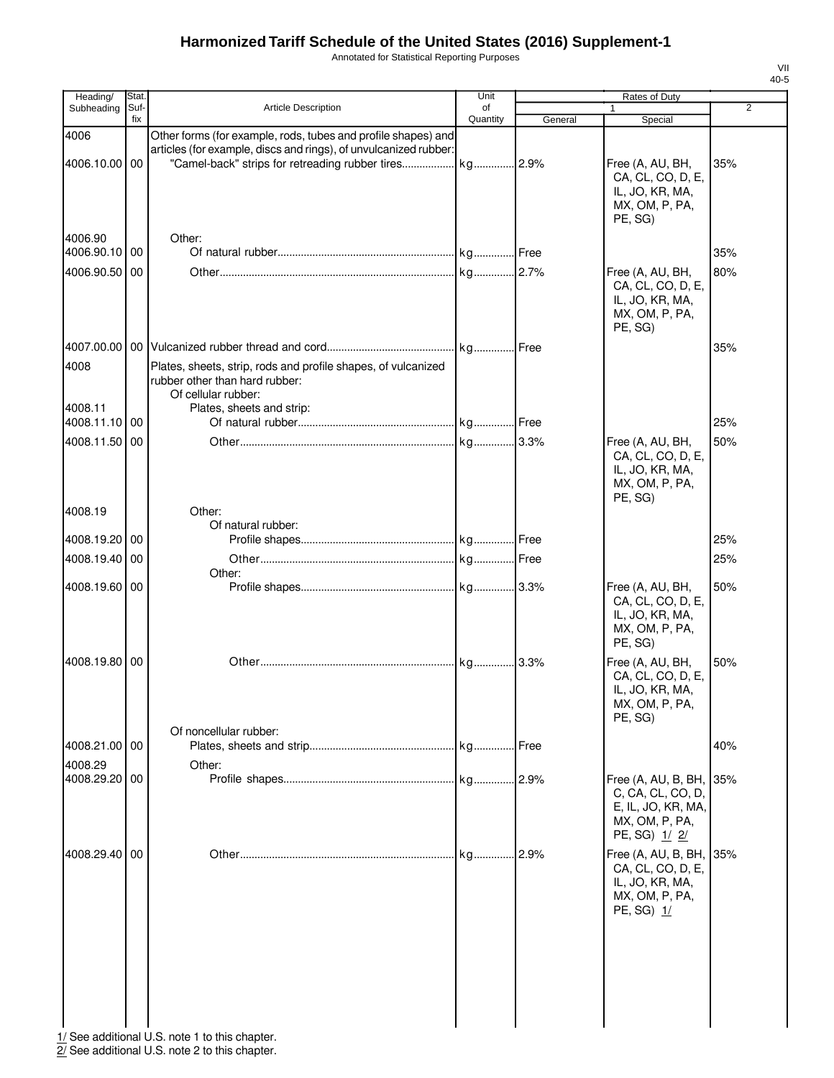Annotated for Statistical Reporting Purposes

| fix<br>Quantity<br>General<br>Special<br>4006<br>Other forms (for example, rods, tubes and profile shapes) and<br>articles (for example, discs and rings), of unvulcanized rubber:<br>"Camel-back" strips for retreading rubber tires kg 2.9%<br>4006.10.00 00<br>Free (A, AU, BH,<br>35%<br>CA, CL, CO, D, E,<br>IL, JO, KR, MA,<br>MX, OM, P, PA,<br>PE, SG)<br>4006.90<br>Other:<br>4006.90.10 00<br>35%<br>4006.90.50 00<br>Free (A, AU, BH,<br>80%<br>CA, CL, CO, D, E,<br>IL, JO, KR, MA,<br>MX, OM, P, PA,<br>PE, SG)<br>35%<br>4008<br>Plates, sheets, strip, rods and profile shapes, of vulcanized<br>rubber other than hard rubber:<br>Of cellular rubber:<br>4008.11<br>Plates, sheets and strip:<br>4008.11.10 00<br>25%<br>4008.11.50 00<br>50%<br>Free (A, AU, BH,<br>CA, CL, CO, D, E,<br>IL, JO, KR, MA,<br>MX, OM, P, PA,<br>PE, SG)<br>4008.19<br>Other:<br>Of natural rubber:<br>4008.19.20 00<br>25%<br>4008.19.40 00<br>25%<br>Other:<br>4008.19.60 00<br>Free (A, AU, BH,<br>50%<br>CA, CL, CO, D, E,<br>IL, JO, KR, MA,<br>MX, OM, P, PA,<br>PE, SG)<br>4008.19.80 00<br>50%<br>Free (A, AU, BH,<br>CA, CL, CO, D, E,<br>IL, JO, KR, MA,<br>MX, OM, P, PA,<br>PE, SG)<br>Of noncellular rubber:<br>4008.21.00 00<br>40%<br>4008.29<br>Other:<br>.2.9%<br>4008.29.20 00<br>Free (A, AU, B, BH,<br>35%<br>C, CA, CL, CO, D,<br>E, IL, JO, KR, MA,<br>MX, OM, P, PA,<br>PE, SG) 1/2/<br>.2.9%<br>4008.29.40 00<br>kg<br>Free (A, AU, B, BH, 35%<br>CA, CL, CO, D, E,<br>IL, JO, KR, MA,<br>MX, OM, P, PA,<br>PE, SG) 1/ | Heading/   | Stat. |                            | Unit | Rates of Duty |                |
|----------------------------------------------------------------------------------------------------------------------------------------------------------------------------------------------------------------------------------------------------------------------------------------------------------------------------------------------------------------------------------------------------------------------------------------------------------------------------------------------------------------------------------------------------------------------------------------------------------------------------------------------------------------------------------------------------------------------------------------------------------------------------------------------------------------------------------------------------------------------------------------------------------------------------------------------------------------------------------------------------------------------------------------------------------------------------------------------------------------------------------------------------------------------------------------------------------------------------------------------------------------------------------------------------------------------------------------------------------------------------------------------------------------------------------------------------------------------------------------------------------------------------------------------|------------|-------|----------------------------|------|---------------|----------------|
|                                                                                                                                                                                                                                                                                                                                                                                                                                                                                                                                                                                                                                                                                                                                                                                                                                                                                                                                                                                                                                                                                                                                                                                                                                                                                                                                                                                                                                                                                                                                              | Subheading | Suf-  | <b>Article Description</b> | of   | 1             | $\overline{2}$ |
|                                                                                                                                                                                                                                                                                                                                                                                                                                                                                                                                                                                                                                                                                                                                                                                                                                                                                                                                                                                                                                                                                                                                                                                                                                                                                                                                                                                                                                                                                                                                              |            |       |                            |      |               |                |
|                                                                                                                                                                                                                                                                                                                                                                                                                                                                                                                                                                                                                                                                                                                                                                                                                                                                                                                                                                                                                                                                                                                                                                                                                                                                                                                                                                                                                                                                                                                                              |            |       |                            |      |               |                |
|                                                                                                                                                                                                                                                                                                                                                                                                                                                                                                                                                                                                                                                                                                                                                                                                                                                                                                                                                                                                                                                                                                                                                                                                                                                                                                                                                                                                                                                                                                                                              |            |       |                            |      |               |                |
|                                                                                                                                                                                                                                                                                                                                                                                                                                                                                                                                                                                                                                                                                                                                                                                                                                                                                                                                                                                                                                                                                                                                                                                                                                                                                                                                                                                                                                                                                                                                              |            |       |                            |      |               |                |
|                                                                                                                                                                                                                                                                                                                                                                                                                                                                                                                                                                                                                                                                                                                                                                                                                                                                                                                                                                                                                                                                                                                                                                                                                                                                                                                                                                                                                                                                                                                                              |            |       |                            |      |               |                |
|                                                                                                                                                                                                                                                                                                                                                                                                                                                                                                                                                                                                                                                                                                                                                                                                                                                                                                                                                                                                                                                                                                                                                                                                                                                                                                                                                                                                                                                                                                                                              |            |       |                            |      |               |                |
|                                                                                                                                                                                                                                                                                                                                                                                                                                                                                                                                                                                                                                                                                                                                                                                                                                                                                                                                                                                                                                                                                                                                                                                                                                                                                                                                                                                                                                                                                                                                              |            |       |                            |      |               |                |
|                                                                                                                                                                                                                                                                                                                                                                                                                                                                                                                                                                                                                                                                                                                                                                                                                                                                                                                                                                                                                                                                                                                                                                                                                                                                                                                                                                                                                                                                                                                                              |            |       |                            |      |               |                |
|                                                                                                                                                                                                                                                                                                                                                                                                                                                                                                                                                                                                                                                                                                                                                                                                                                                                                                                                                                                                                                                                                                                                                                                                                                                                                                                                                                                                                                                                                                                                              |            |       |                            |      |               |                |
|                                                                                                                                                                                                                                                                                                                                                                                                                                                                                                                                                                                                                                                                                                                                                                                                                                                                                                                                                                                                                                                                                                                                                                                                                                                                                                                                                                                                                                                                                                                                              |            |       |                            |      |               |                |
|                                                                                                                                                                                                                                                                                                                                                                                                                                                                                                                                                                                                                                                                                                                                                                                                                                                                                                                                                                                                                                                                                                                                                                                                                                                                                                                                                                                                                                                                                                                                              |            |       |                            |      |               |                |
|                                                                                                                                                                                                                                                                                                                                                                                                                                                                                                                                                                                                                                                                                                                                                                                                                                                                                                                                                                                                                                                                                                                                                                                                                                                                                                                                                                                                                                                                                                                                              |            |       |                            |      |               |                |
|                                                                                                                                                                                                                                                                                                                                                                                                                                                                                                                                                                                                                                                                                                                                                                                                                                                                                                                                                                                                                                                                                                                                                                                                                                                                                                                                                                                                                                                                                                                                              |            |       |                            |      |               |                |
|                                                                                                                                                                                                                                                                                                                                                                                                                                                                                                                                                                                                                                                                                                                                                                                                                                                                                                                                                                                                                                                                                                                                                                                                                                                                                                                                                                                                                                                                                                                                              |            |       |                            |      |               |                |
|                                                                                                                                                                                                                                                                                                                                                                                                                                                                                                                                                                                                                                                                                                                                                                                                                                                                                                                                                                                                                                                                                                                                                                                                                                                                                                                                                                                                                                                                                                                                              |            |       |                            |      |               |                |
|                                                                                                                                                                                                                                                                                                                                                                                                                                                                                                                                                                                                                                                                                                                                                                                                                                                                                                                                                                                                                                                                                                                                                                                                                                                                                                                                                                                                                                                                                                                                              |            |       |                            |      |               |                |
|                                                                                                                                                                                                                                                                                                                                                                                                                                                                                                                                                                                                                                                                                                                                                                                                                                                                                                                                                                                                                                                                                                                                                                                                                                                                                                                                                                                                                                                                                                                                              |            |       |                            |      |               |                |
|                                                                                                                                                                                                                                                                                                                                                                                                                                                                                                                                                                                                                                                                                                                                                                                                                                                                                                                                                                                                                                                                                                                                                                                                                                                                                                                                                                                                                                                                                                                                              |            |       |                            |      |               |                |

1/ See additional U.S. note 1 to this chapter.

2/ See additional U.S. note 2 to this chapter.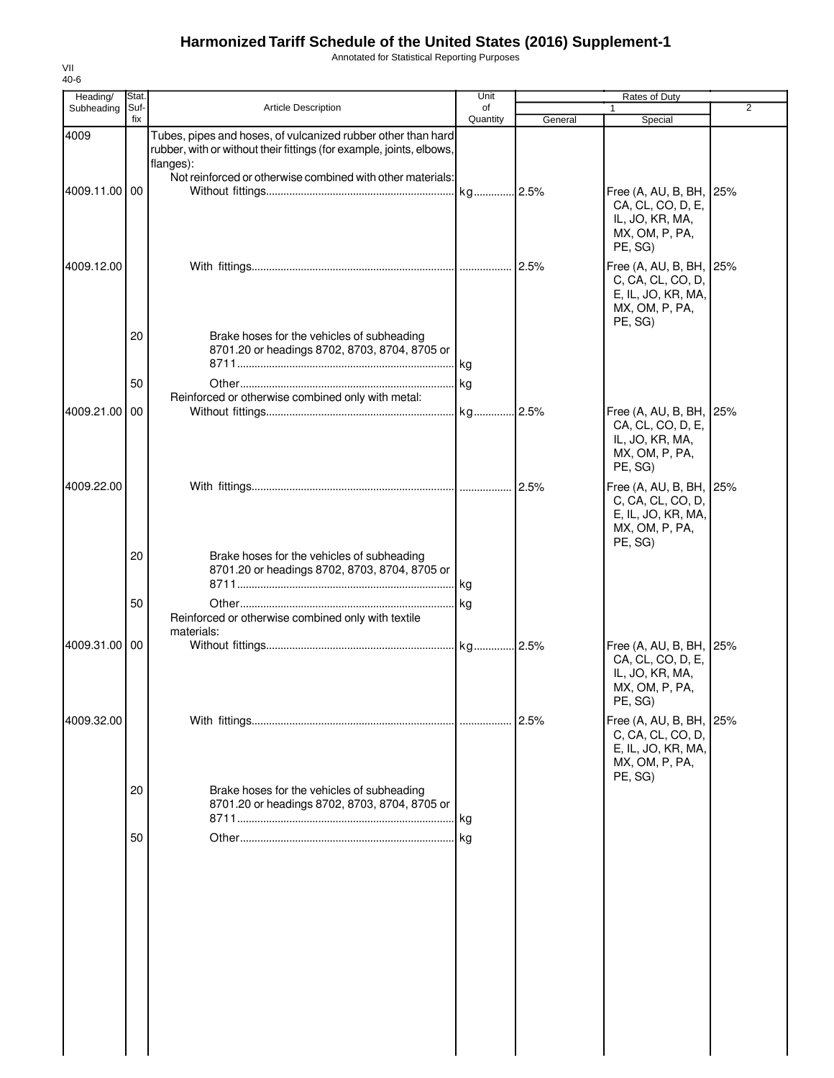Annotated for Statistical Reporting Purposes

| Heading/      | Stat.       |                                                                                                                                                   | Unit           |         | Rates of Duty                                                                                   |                |
|---------------|-------------|---------------------------------------------------------------------------------------------------------------------------------------------------|----------------|---------|-------------------------------------------------------------------------------------------------|----------------|
| Subheading    | Suf-<br>fix | <b>Article Description</b>                                                                                                                        | of<br>Quantity | General | $\mathbf{1}$<br>Special                                                                         | $\overline{2}$ |
| 4009          |             | Tubes, pipes and hoses, of vulcanized rubber other than hard<br>rubber, with or without their fittings (for example, joints, elbows,<br>flanges): |                |         |                                                                                                 |                |
| 4009.11.00 00 |             | Not reinforced or otherwise combined with other materials:                                                                                        |                |         | Free (A, AU, B, BH, 25%<br>CA, CL, CO, D, E,<br>IL, JO, KR, MA,<br>MX, OM, P, PA,<br>PE, SG)    |                |
| 4009.12.00    |             |                                                                                                                                                   |                |         | Free (A, AU, B, BH, 25%<br>C, CA, CL, CO, D,<br>E, IL, JO, KR, MA,<br>MX, OM, P, PA,<br>PE, SG) |                |
|               | 20          | Brake hoses for the vehicles of subheading<br>8701.20 or headings 8702, 8703, 8704, 8705 or                                                       |                |         |                                                                                                 |                |
|               | 50          | Reinforced or otherwise combined only with metal:                                                                                                 | kg             |         |                                                                                                 |                |
| 4009.21.00    | 00          |                                                                                                                                                   |                |         | Free (A, AU, B, BH, 25%<br>CA, CL, CO, D, E,<br>IL, JO, KR, MA,<br>MX, OM, P, PA,<br>PE, SG)    |                |
| 4009.22.00    |             |                                                                                                                                                   |                |         | Free (A, AU, B, BH, 25%<br>C, CA, CL, CO, D,<br>E, IL, JO, KR, MA,<br>MX, OM, P, PA,<br>PE, SG) |                |
|               | 20          | Brake hoses for the vehicles of subheading<br>8701.20 or headings 8702, 8703, 8704, 8705 or                                                       | l kg.          |         |                                                                                                 |                |
|               | 50          | Reinforced or otherwise combined only with textile<br>materials:                                                                                  | kg             |         |                                                                                                 |                |
| 4009.31.00    | 00          |                                                                                                                                                   |                |         | Free (A, AU, B, BH,<br>CA, CL, CO, D, E,<br>IL, JO, KR, MA,<br>MX, OM, P, PA,<br>PE, SG)        | 25%            |
| 4009.32.00    |             |                                                                                                                                                   |                |         | Free (A, AU, B, BH,<br>C, CA, CL, CO, D,<br>E, IL, JO, KR, MA,<br>MX, OM, P, PA,                | 25%            |
|               | 20          | Brake hoses for the vehicles of subheading<br>8701.20 or headings 8702, 8703, 8704, 8705 or                                                       |                |         | PE, SG)                                                                                         |                |
|               | 50          |                                                                                                                                                   |                |         |                                                                                                 |                |
|               |             |                                                                                                                                                   |                |         |                                                                                                 |                |
|               |             |                                                                                                                                                   |                |         |                                                                                                 |                |
|               |             |                                                                                                                                                   |                |         |                                                                                                 |                |
|               |             |                                                                                                                                                   |                |         |                                                                                                 |                |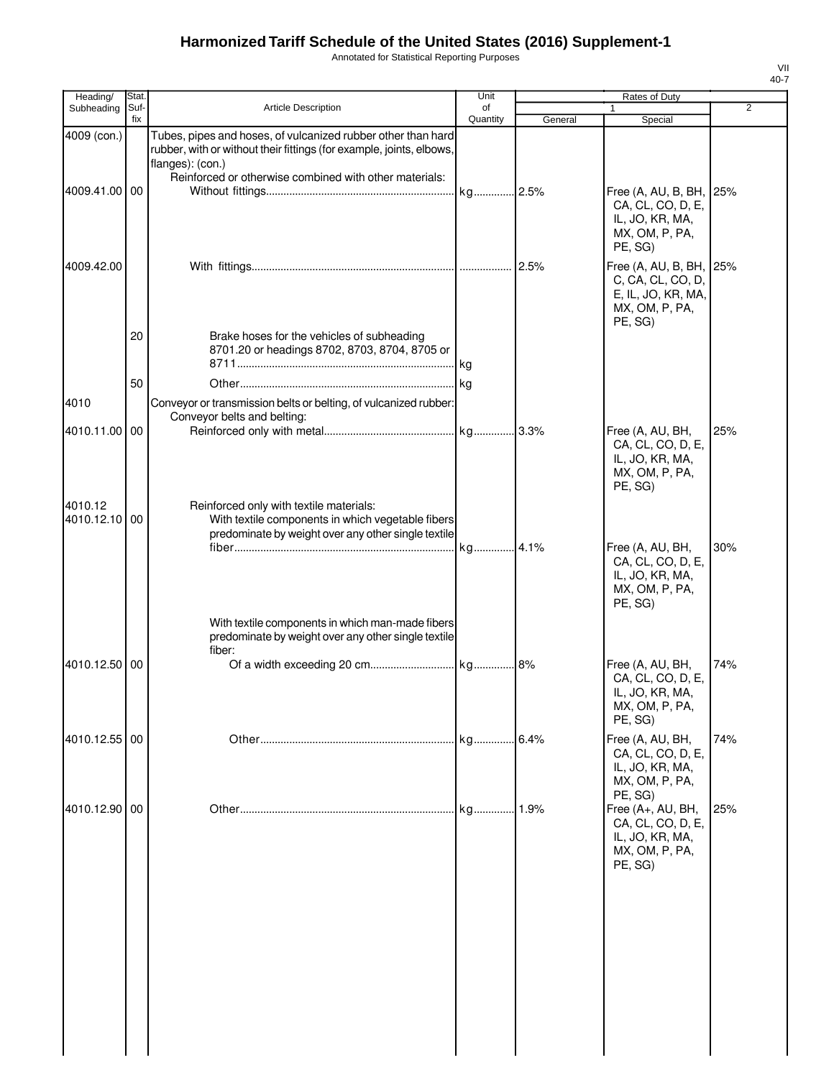Annotated for Statistical Reporting Purposes

| Heading/                 | Stat.       |                                                                                                                                                          | Unit           |         | <b>Rates of Duty</b>                                                                            |     |
|--------------------------|-------------|----------------------------------------------------------------------------------------------------------------------------------------------------------|----------------|---------|-------------------------------------------------------------------------------------------------|-----|
| Subheading               | Suf-<br>fix | <b>Article Description</b>                                                                                                                               | of<br>Quantity | General | Special                                                                                         | 2   |
| 4009 (con.)              |             | Tubes, pipes and hoses, of vulcanized rubber other than hard<br>rubber, with or without their fittings (for example, joints, elbows,<br>flanges): (con.) |                |         |                                                                                                 |     |
| 4009.41.00 00            |             | Reinforced or otherwise combined with other materials:                                                                                                   | kg 2.5%        |         | Free (A, AU, B, BH, 25%<br>CA, CL, CO, D, E,<br>IL, JO, KR, MA,<br>MX, OM, P, PA,<br>PE, SG)    |     |
| 4009.42.00               |             |                                                                                                                                                          |                | 2.5%    | Free (A, AU, B, BH, 25%<br>C, CA, CL, CO, D,<br>E, IL, JO, KR, MA,<br>MX, OM, P, PA,<br>PE, SG) |     |
|                          | 20          | Brake hoses for the vehicles of subheading<br>8701.20 or headings 8702, 8703, 8704, 8705 or                                                              | kg             |         |                                                                                                 |     |
|                          | 50          |                                                                                                                                                          |                |         |                                                                                                 |     |
| 4010                     |             | Conveyor or transmission belts or belting, of vulcanized rubber:                                                                                         |                |         |                                                                                                 |     |
| 4010.11.00 00            |             | Conveyor belts and belting:                                                                                                                              |                |         | Free (A, AU, BH,<br>CA, CL, CO, D, E,                                                           | 25% |
| 4010.12<br>4010.12.10 00 |             | Reinforced only with textile materials:<br>With textile components in which vegetable fibers<br>predominate by weight over any other single textile      |                |         | IL, JO, KR, MA,<br>MX, OM, P, PA,<br>PE, SG)                                                    |     |
|                          |             | With textile components in which man-made fibers                                                                                                         | kg 4.1%        |         | Free (A, AU, BH,<br>CA, CL, CO, D, E,<br>IL, JO, KR, MA,<br>MX, OM, P, PA,<br>PE, SG)           | 30% |
|                          |             | predominate by weight over any other single textile<br>fiber:                                                                                            |                |         |                                                                                                 |     |
| 4010.12.50 00            |             |                                                                                                                                                          |                |         | Free (A, AU, BH,<br>CA, CL, CO, D, E,<br>IL, JO, KR, MA,<br>MX, OM, P, PA,<br>PE, SG)           | 74% |
| 4010.12.55 00            |             |                                                                                                                                                          | kg             | 6.4%    | Free (A, AU, BH,<br>CA, CL, CO, D, E,<br>IL, JO, KR, MA,<br>MX, OM, P, PA,<br>PE. SG)           | 74% |
| 4010.12.90 00            |             |                                                                                                                                                          | kg             | 1.9%    | Free (A+, AU, BH,<br>CA, CL, CO, D, E,<br>IL, JO, KR, MA,<br>MX, OM, P, PA,<br>PE, SG)          | 25% |
|                          |             |                                                                                                                                                          |                |         |                                                                                                 |     |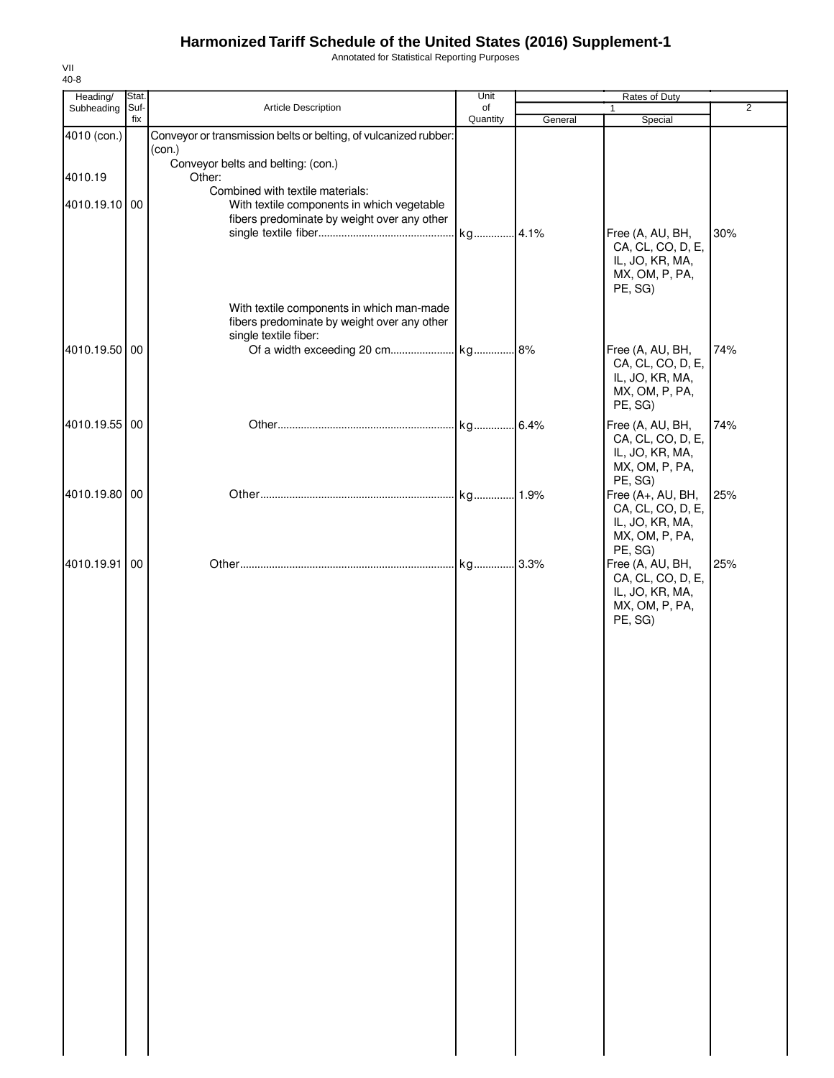Annotated for Statistical Reporting Purposes

| Heading/                 | Stat.       |                                                                                                                                                                               | Unit           |         | Rates of Duty                                                                                    |                |
|--------------------------|-------------|-------------------------------------------------------------------------------------------------------------------------------------------------------------------------------|----------------|---------|--------------------------------------------------------------------------------------------------|----------------|
| Subheading               | Suf-<br>fix | Article Description                                                                                                                                                           | of<br>Quantity | General | 1<br>Special                                                                                     | $\overline{2}$ |
| 4010 (con.)              |             | Conveyor or transmission belts or belting, of vulcanized rubber:<br>(con.)                                                                                                    |                |         |                                                                                                  |                |
| 4010.19<br>4010.19.10 00 |             | Conveyor belts and belting: (con.)<br>Other:<br>Combined with textile materials:<br>With textile components in which vegetable<br>fibers predominate by weight over any other |                |         | Free (A, AU, BH,<br>CA, CL, CO, D, E,<br>IL, JO, KR, MA,<br>MX, OM, P, PA,                       | 30%            |
| 4010.19.50 00            |             | With textile components in which man-made<br>fibers predominate by weight over any other<br>single textile fiber:                                                             |                |         | PE, SG)<br>Free (A, AU, BH,<br>CA, CL, CO, D, E,<br>IL, JO, KR, MA,<br>MX, OM, P, PA,<br>PE, SG) | 74%            |
| 4010.19.55 00            |             |                                                                                                                                                                               |                |         | Free (A, AU, BH,<br>CA, CL, CO, D, E,<br>IL, JO, KR, MA,<br>MX, OM, P, PA,<br>PE, SG)            | 74%            |
| 4010.19.80 00            |             |                                                                                                                                                                               |                |         | Free (A+, AU, BH,<br>CA, CL, CO, D, E,<br>IL, JO, KR, MA,<br>MX, OM, P, PA,<br>PE, SG)           | 25%            |
| 4010.19.91 00            |             |                                                                                                                                                                               |                |         | Free (A, AU, BH,<br>CA, CL, CO, D, E,<br>IL, JO, KR, MA,<br>MX, OM, P, PA,<br>PE, SG)            | 25%            |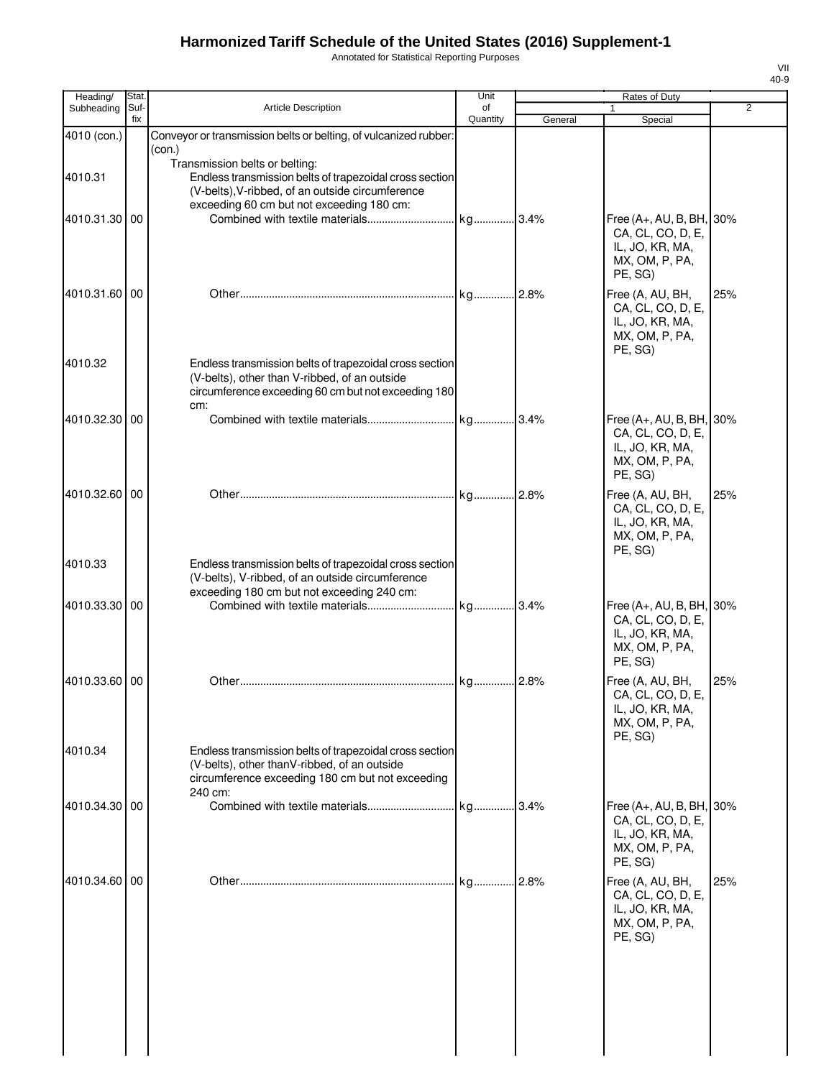Annotated for Statistical Reporting Purposes

| Heading/      | Stat.       |                                                                                                                                                                        | Unit           |         | Rates of Duty                                                                                     |                |
|---------------|-------------|------------------------------------------------------------------------------------------------------------------------------------------------------------------------|----------------|---------|---------------------------------------------------------------------------------------------------|----------------|
| Subheading    | Suf-<br>fix | <b>Article Description</b>                                                                                                                                             | of<br>Quantity | General | 1<br>Special                                                                                      | $\overline{2}$ |
| 4010 (con.)   |             | Conveyor or transmission belts or belting, of vulcanized rubber:                                                                                                       |                |         |                                                                                                   |                |
|               |             | (con.)<br>Transmission belts or belting:                                                                                                                               |                |         |                                                                                                   |                |
| 4010.31       |             | Endless transmission belts of trapezoidal cross section                                                                                                                |                |         |                                                                                                   |                |
|               |             | (V-belts), V-ribbed, of an outside circumference                                                                                                                       |                |         |                                                                                                   |                |
| 4010.31.30 00 |             | exceeding 60 cm but not exceeding 180 cm:                                                                                                                              |                |         | Free (A+, AU, B, BH, 30%                                                                          |                |
|               |             |                                                                                                                                                                        |                |         | CA, CL, CO, D, E,<br>IL, JO, KR, MA,<br>MX, OM, P, PA,<br>PE, SG)                                 |                |
| 4010.31.60 00 |             |                                                                                                                                                                        |                |         | Free (A, AU, BH,<br>CA, CL, CO, D, E,<br>IL, JO, KR, MA,<br>MX, OM, P, PA,<br>PE, SG)             | 25%            |
| 4010.32       |             | Endless transmission belts of trapezoidal cross section<br>(V-belts), other than V-ribbed, of an outside<br>circumference exceeding 60 cm but not exceeding 180<br>cm: |                |         |                                                                                                   |                |
| 4010.32.30    | 00          |                                                                                                                                                                        |                |         | Free (A+, AU, B, BH, 30%<br>CA, CL, CO, D, E,<br>IL, JO, KR, MA,<br>MX, OM, P, PA,<br>PE, SG)     |                |
| 4010.32.60 00 |             |                                                                                                                                                                        |                |         | Free (A, AU, BH,<br>CA, CL, CO, D, E,<br>IL, JO, KR, MA,<br>MX, OM, P, PA,<br>PE, SG)             | 25%            |
| 4010.33       |             | Endless transmission belts of trapezoidal cross section<br>(V-belts), V-ribbed, of an outside circumference<br>exceeding 180 cm but not exceeding 240 cm:              |                |         |                                                                                                   |                |
| 4010.33.30 00 |             |                                                                                                                                                                        |                |         | Free (A+, AU, B, BH, 30%<br>CA, CL, CO, D, E,<br>IL, JO, KR, MA,<br>MX, OM, P, PA,<br>PE, SG)     |                |
| 4010.33.60 00 |             |                                                                                                                                                                        |                |         | Free (A, AU, BH,<br>CA, CL, CO, D, E,<br>IL, JO, KR, MA,<br>MX, OM, P, PA,                        | 25%            |
| 4010.34       |             | Endless transmission belts of trapezoidal cross section<br>(V-belts), other thanV-ribbed, of an outside<br>circumference exceeding 180 cm but not exceeding<br>240 cm: |                |         | PE. SG)                                                                                           |                |
| 4010.34.30 00 |             |                                                                                                                                                                        |                |         | Free $(A_+, AU, B, BH, 30\%$<br>CA, CL, CO, D, E,<br>IL, JO, KR, MA,<br>MX, OM, P, PA,<br>PE, SG) |                |
| 4010.34.60 00 |             |                                                                                                                                                                        |                | .2.8%   | Free (A, AU, BH,<br>CA, CL, CO, D, E,<br>IL, JO, KR, MA,<br>MX, OM, P, PA,<br>PE, SG)             | 25%            |
|               |             |                                                                                                                                                                        |                |         |                                                                                                   |                |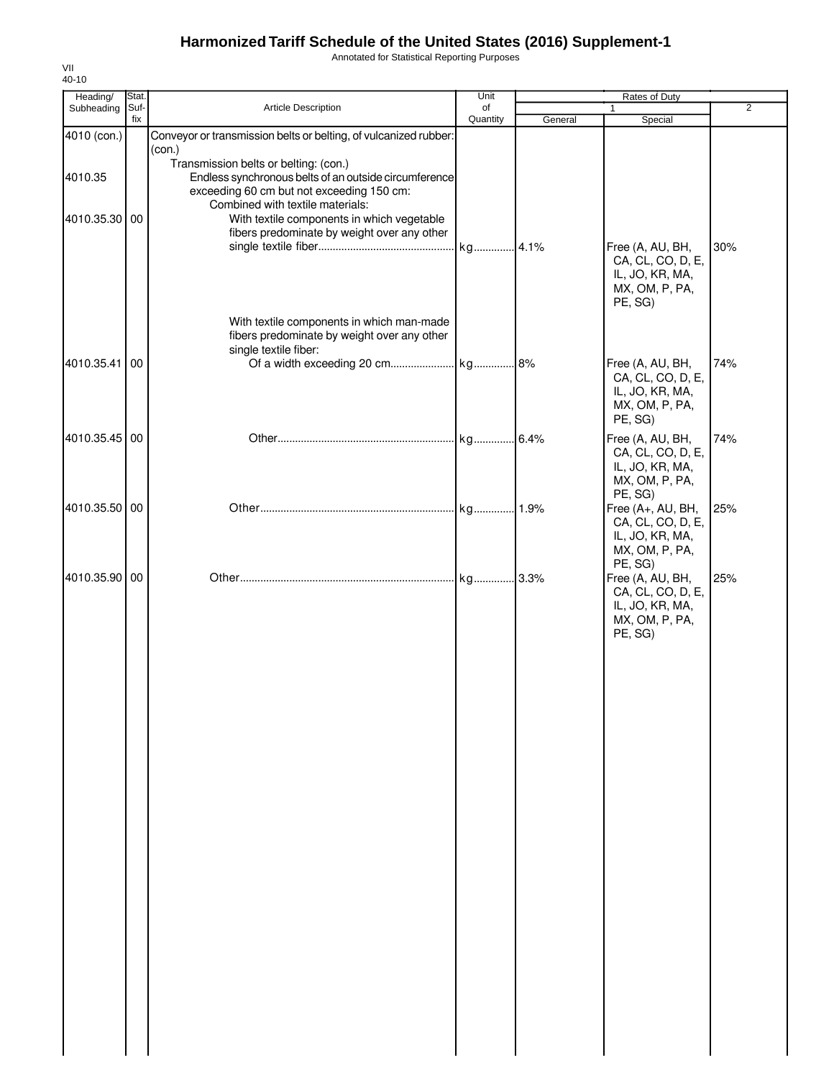Annotated for Statistical Reporting Purposes

| Heading/      | Stat. |                                                                                                                                        | Unit     | Rates of Duty |                                                                                        |                |
|---------------|-------|----------------------------------------------------------------------------------------------------------------------------------------|----------|---------------|----------------------------------------------------------------------------------------|----------------|
| Subheading    | Suf-  | Article Description                                                                                                                    | of       |               | 1                                                                                      | $\overline{2}$ |
| 4010 (con.)   | fix   | Conveyor or transmission belts or belting, of vulcanized rubber:                                                                       | Quantity | General       | Special                                                                                |                |
|               |       | (con.)<br>Transmission belts or belting: (con.)                                                                                        |          |               |                                                                                        |                |
| 4010.35       |       | Endless synchronous belts of an outside circumference<br>exceeding 60 cm but not exceeding 150 cm:<br>Combined with textile materials: |          |               |                                                                                        |                |
| 4010.35.30 00 |       | With textile components in which vegetable<br>fibers predominate by weight over any other                                              |          |               | Free (A, AU, BH,<br>CA, CL, CO, D, E,<br>IL, JO, KR, MA,<br>MX, OM, P, PA,             | 30%            |
|               |       | With textile components in which man-made<br>fibers predominate by weight over any other<br>single textile fiber:                      |          |               | PE, SG)                                                                                |                |
| 4010.35.41 00 |       |                                                                                                                                        |          |               | Free (A, AU, BH,<br>CA, CL, CO, D, E,<br>IL, JO, KR, MA,<br>MX, OM, P, PA,<br>PE, SG)  | 74%            |
| 4010.35.45 00 |       |                                                                                                                                        |          |               | Free (A, AU, BH,<br>CA, CL, CO, D, E,<br>IL, JO, KR, MA,<br>MX, OM, P, PA,<br>PE, SG)  | 74%            |
| 4010.35.50 00 |       |                                                                                                                                        |          |               | Free (A+, AU, BH,<br>CA, CL, CO, D, E,<br>IL, JO, KR, MA,<br>MX, OM, P, PA,<br>PE, SG) | 25%            |
| 4010.35.90 00 |       |                                                                                                                                        |          |               | Free (A, AU, BH,<br>CA, CL, CO, D, E,<br>IL, JO, KR, MA,<br>MX, OM, P, PA,<br>PE, SG)  | 25%            |
|               |       |                                                                                                                                        |          |               |                                                                                        |                |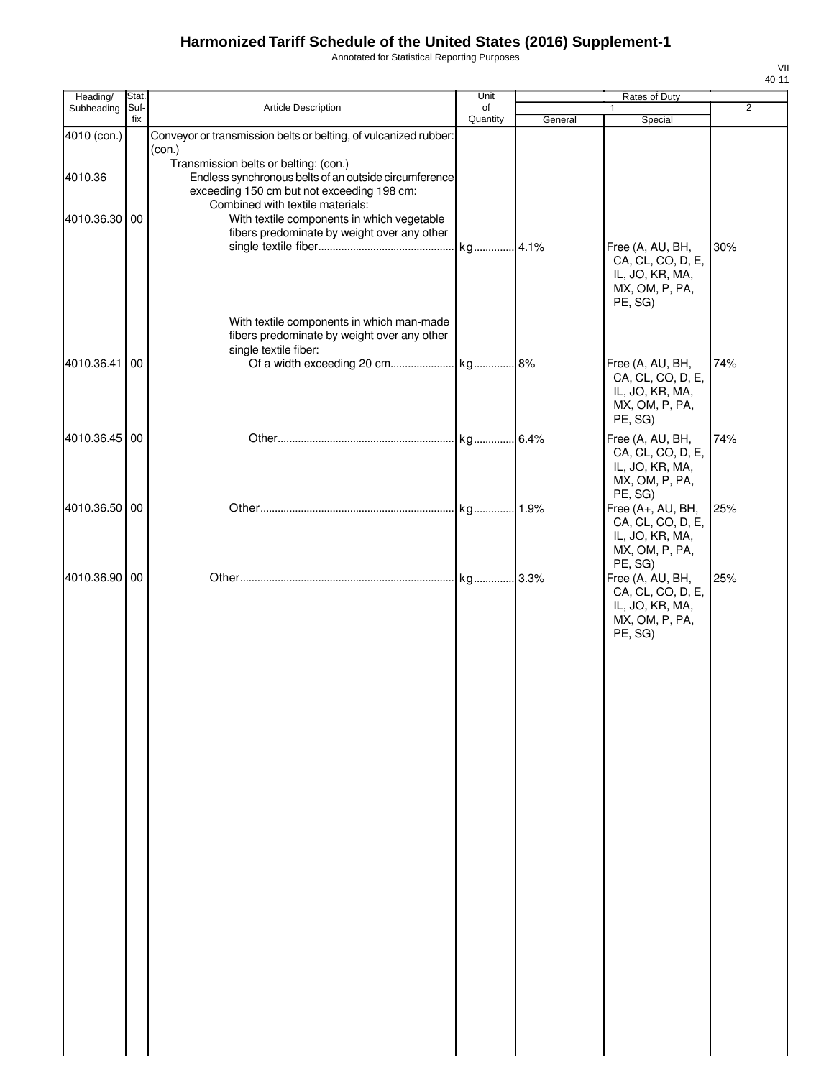Annotated for Statistical Reporting Purposes

| Heading/      | Stat.       |                                                                                                                              | Unit           |         | Rates of Duty                                                                                    |                |
|---------------|-------------|------------------------------------------------------------------------------------------------------------------------------|----------------|---------|--------------------------------------------------------------------------------------------------|----------------|
| Subheading    | Suf-<br>fix | Article Description                                                                                                          | of<br>Quantity |         | $\mathbf{1}$                                                                                     | $\overline{2}$ |
| 4010 (con.)   |             | Conveyor or transmission belts or belting, of vulcanized rubber:                                                             |                | General | Special                                                                                          |                |
| 4010.36       |             | (con.)<br>Transmission belts or belting: (con.)<br>Endless synchronous belts of an outside circumference                     |                |         |                                                                                                  |                |
| 4010.36.30 00 |             | exceeding 150 cm but not exceeding 198 cm:<br>Combined with textile materials:<br>With textile components in which vegetable |                |         |                                                                                                  |                |
|               |             | fibers predominate by weight over any other                                                                                  | kg 4.1%        |         | Free (A, AU, BH,<br>CA, CL, CO, D, E,<br>IL, JO, KR, MA,                                         | 30%            |
|               |             | With textile components in which man-made                                                                                    |                |         | MX, OM, P, PA,<br>PE, SG)                                                                        |                |
| 4010.36.41    | 00          | fibers predominate by weight over any other<br>single textile fiber:                                                         |                |         | Free (A, AU, BH,                                                                                 | 74%            |
|               |             |                                                                                                                              |                |         | CA, CL, CO, D, E,<br>IL, JO, KR, MA,<br>MX, OM, P, PA,<br>PE, SG)                                |                |
| 4010.36.45 00 |             |                                                                                                                              | kg 6.4%        |         | Free (A, AU, BH,<br>CA, CL, CO, D, E,<br>IL, JO, KR, MA,<br>MX, OM, P, PA,<br>PE, SG)            | 74%            |
| 4010.36.50 00 |             |                                                                                                                              | kg 1.9%        |         | Free (A+, AU, BH,<br>CA, CL, CO, D, E,<br>IL, JO, KR, MA,<br>MX, OM, P, PA,                      | 25%            |
| 4010.36.90 00 |             |                                                                                                                              |                |         | PE, SG)<br>Free (A, AU, BH,<br>CA, CL, CO, D, E,<br>IL, JO, KR, MA,<br>MX, OM, P, PA,<br>PE, SG) | 25%            |
|               |             |                                                                                                                              |                |         |                                                                                                  |                |
|               |             |                                                                                                                              |                |         |                                                                                                  |                |
|               |             |                                                                                                                              |                |         |                                                                                                  |                |
|               |             |                                                                                                                              |                |         |                                                                                                  |                |
|               |             |                                                                                                                              |                |         |                                                                                                  |                |
|               |             |                                                                                                                              |                |         |                                                                                                  |                |
|               |             |                                                                                                                              |                |         |                                                                                                  |                |
|               |             |                                                                                                                              |                |         |                                                                                                  |                |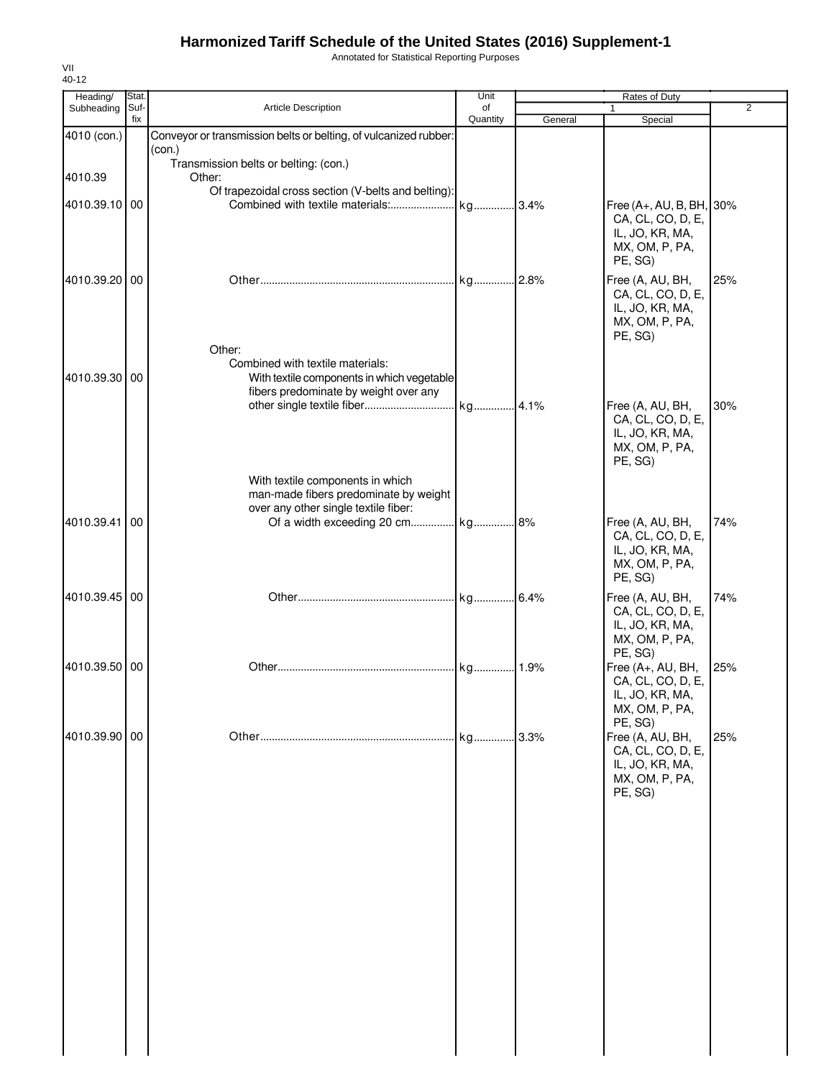Annotated for Statistical Reporting Purposes

| Heading/      | Stat.       |                                                                                                                                                       | Unit     |         | Rates of Duty                                                                                    |                |
|---------------|-------------|-------------------------------------------------------------------------------------------------------------------------------------------------------|----------|---------|--------------------------------------------------------------------------------------------------|----------------|
| Subheading    | Suf-<br>fix | Article Description                                                                                                                                   | of       |         | 1                                                                                                | $\overline{2}$ |
| 4010 (con.)   |             | Conveyor or transmission belts or belting, of vulcanized rubber:                                                                                      | Quantity | General | Special                                                                                          |                |
| 4010.39       |             | (con.)<br>Transmission belts or belting: (con.)<br>Other:                                                                                             |          |         |                                                                                                  |                |
| 4010.39.10 00 |             | Of trapezoidal cross section (V-belts and belting):<br>Combined with textile materials:                                                               | kg       | .3.4%   | Free (A+, AU, B, BH, 30%<br>CA, CL, CO, D, E,<br>IL, JO, KR, MA,<br>MX, OM, P, PA,<br>PE, SG)    |                |
| 4010.39.20 00 |             | Other:                                                                                                                                                |          |         | Free (A, AU, BH,<br>CA, CL, CO, D, E,<br>IL, JO, KR, MA,<br>MX, OM, P, PA,<br>PE, SG)            | 25%            |
| 4010.39.30 00 |             | Combined with textile materials:<br>With textile components in which vegetable<br>fibers predominate by weight over any                               | kg 4.1%  |         | Free (A, AU, BH,<br>CA, CL, CO, D, E,<br>IL, JO, KR, MA,<br>MX, OM, P, PA,                       | 30%            |
| 4010.39.41    | 00          | With textile components in which<br>man-made fibers predominate by weight<br>over any other single textile fiber:<br>Of a width exceeding 20 cm kg 8% |          |         | PE, SG)<br>Free (A, AU, BH,                                                                      | 74%            |
|               |             |                                                                                                                                                       |          |         | CA, CL, CO, D, E,<br>IL, JO, KR, MA,<br>MX, OM, P, PA,<br>PE, SG)                                |                |
| 4010.39.45 00 |             |                                                                                                                                                       |          |         | Free (A, AU, BH,<br>CA, CL, CO, D, E,<br>IL, JO, KR, MA,<br>MX, OM, P, PA,<br>PE, SG)            | 74%            |
| 4010.39.50 00 |             |                                                                                                                                                       | kg       | .1.9%   | Free (A+, AU, BH,<br>CA, CL, CO, D, E,<br>IL, JO, KR, MA,<br>MX, OM, P, PA,                      | 25%            |
| 4010.39.90 00 |             |                                                                                                                                                       | kg       | .3.3%   | PE, SG)<br>Free (A, AU, BH,<br>CA, CL, CO, D, E,<br>IL, JO, KR, MA,<br>MX, OM, P, PA,<br>PE, SG) | 25%            |
|               |             |                                                                                                                                                       |          |         |                                                                                                  |                |
|               |             |                                                                                                                                                       |          |         |                                                                                                  |                |
|               |             |                                                                                                                                                       |          |         |                                                                                                  |                |
|               |             |                                                                                                                                                       |          |         |                                                                                                  |                |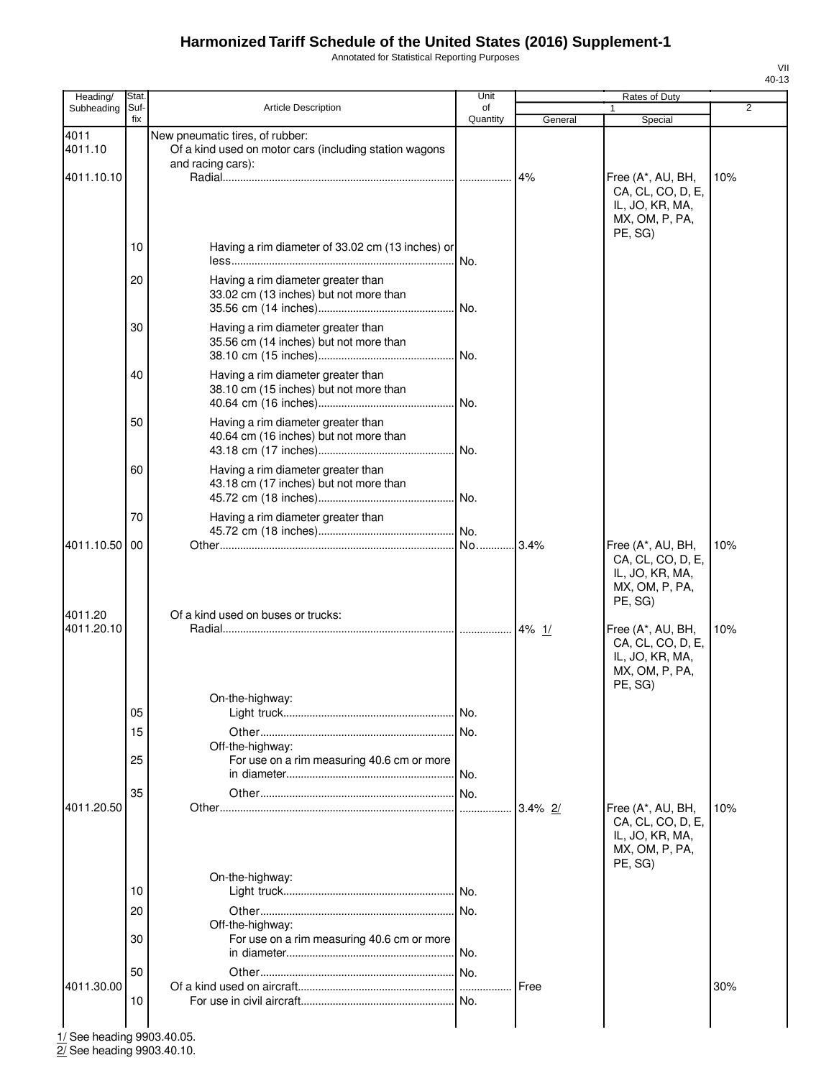Annotated for Statistical Reporting Purposes

| Heading/              | Stat.       |                                                                                                                | Unit           |            | Rates of Duty                                                                          |     |
|-----------------------|-------------|----------------------------------------------------------------------------------------------------------------|----------------|------------|----------------------------------------------------------------------------------------|-----|
| Subheading            | Suf-<br>fix | <b>Article Description</b>                                                                                     | of<br>Quantity | General    | $\mathbf{1}$<br>Special                                                                | 2   |
| 4011<br>4011.10       |             | New pneumatic tires, of rubber:<br>Of a kind used on motor cars (including station wagons<br>and racing cars): |                |            |                                                                                        |     |
| 4011.10.10            |             |                                                                                                                |                | 4%         | Free (A*, AU, BH,<br>CA, CL, CO, D, E,<br>IL, JO, KR, MA,<br>MX, OM, P, PA,<br>PE, SG) | 10% |
|                       | 10          | Having a rim diameter of 33.02 cm (13 inches) or                                                               | No.            |            |                                                                                        |     |
|                       | 20          | Having a rim diameter greater than<br>33.02 cm (13 inches) but not more than                                   |                |            |                                                                                        |     |
|                       | 30          | Having a rim diameter greater than<br>35.56 cm (14 inches) but not more than                                   |                |            |                                                                                        |     |
|                       | 40          | Having a rim diameter greater than<br>38.10 cm (15 inches) but not more than                                   |                |            |                                                                                        |     |
|                       | 50          | Having a rim diameter greater than<br>40.64 cm (16 inches) but not more than                                   |                |            |                                                                                        |     |
|                       | 60          | Having a rim diameter greater than<br>43.18 cm (17 inches) but not more than                                   |                |            |                                                                                        |     |
|                       | 70          | Having a rim diameter greater than                                                                             |                |            |                                                                                        |     |
| 4011.10.50<br>4011.20 | 00          | Of a kind used on buses or trucks:                                                                             | No             | 3.4%       | Free (A*, AU, BH,<br>CA, CL, CO, D, E,<br>IL, JO, KR, MA,<br>MX, OM, P, PA,<br>PE, SG) | 10% |
| 4011.20.10            |             |                                                                                                                |                |            | Free (A*, AU, BH,<br>CA, CL, CO, D, E,<br>IL, JO, KR, MA,<br>MX, OM, P, PA,<br>PE, SG) | 10% |
|                       | 05          | On-the-highway:                                                                                                |                |            |                                                                                        |     |
|                       | 15          | Off-the-highway:                                                                                               |                |            |                                                                                        |     |
|                       | 25          | For use on a rim measuring 40.6 cm or more                                                                     | l No.          |            |                                                                                        |     |
| 4011.20.50            | 35          |                                                                                                                |                | $3.4\%$ 2/ | Free (A*, AU, BH,<br>CA, CL, CO, D, E,<br>IL, JO, KR, MA,                              | 10% |
|                       |             | On-the-highway:                                                                                                |                |            | MX, OM, P, PA,<br>PE, SG)                                                              |     |
|                       | 10          |                                                                                                                |                |            |                                                                                        |     |
|                       | 20<br>30    | Off-the-highway:<br>For use on a rim measuring 40.6 cm or more                                                 |                |            |                                                                                        |     |
|                       |             |                                                                                                                | l No.          |            |                                                                                        |     |
| 4011.30.00            | 50          |                                                                                                                |                | Free       |                                                                                        | 30% |
|                       | 10          |                                                                                                                |                |            |                                                                                        |     |

1/ See heading 9903.40.05.

2/ See heading 9903.40.10.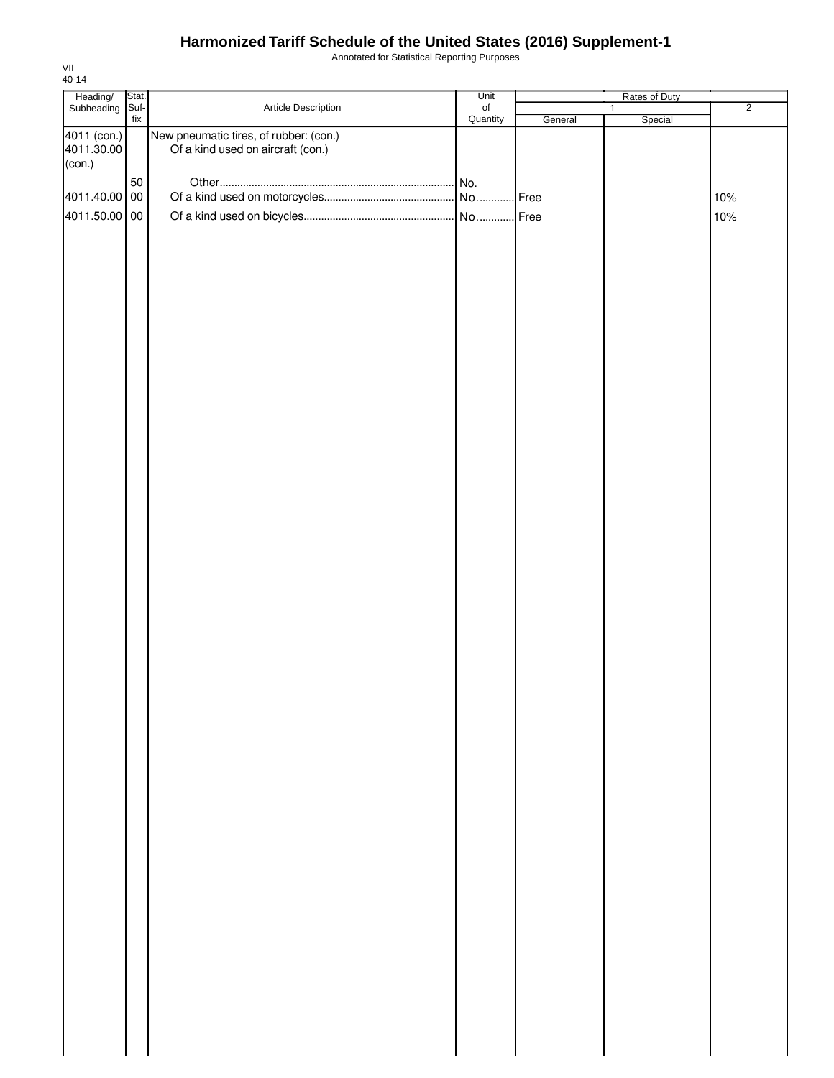Annotated for Statistical Reporting Purposes

| Heading/<br>Subheading    | Stat.<br>Suf- |                                                                             | Unit             | Rates of Duty |                |                |
|---------------------------|---------------|-----------------------------------------------------------------------------|------------------|---------------|----------------|----------------|
|                           | fix           | Article Description                                                         | $_{\mathsf{of}}$ |               | $\overline{1}$ | $\overline{2}$ |
| 4011 (con.)<br>4011.30.00 |               | New pneumatic tires, of rubber: (con.)<br>Of a kind used on aircraft (con.) | Quantity         | General       | Special        |                |
| (con.)                    |               |                                                                             |                  |               |                |                |
|                           | 50            |                                                                             |                  |               |                |                |
| 4011.40.00 00             |               |                                                                             |                  | . Free        |                | 10%            |
| 4011.50.00 00             |               |                                                                             |                  |               |                | 10%            |
|                           |               |                                                                             |                  |               |                |                |
|                           |               |                                                                             |                  |               |                |                |
|                           |               |                                                                             |                  |               |                |                |
|                           |               |                                                                             |                  |               |                |                |
|                           |               |                                                                             |                  |               |                |                |
|                           |               |                                                                             |                  |               |                |                |
|                           |               |                                                                             |                  |               |                |                |
|                           |               |                                                                             |                  |               |                |                |
|                           |               |                                                                             |                  |               |                |                |
|                           |               |                                                                             |                  |               |                |                |
|                           |               |                                                                             |                  |               |                |                |
|                           |               |                                                                             |                  |               |                |                |
|                           |               |                                                                             |                  |               |                |                |
|                           |               |                                                                             |                  |               |                |                |
|                           |               |                                                                             |                  |               |                |                |
|                           |               |                                                                             |                  |               |                |                |
|                           |               |                                                                             |                  |               |                |                |
|                           |               |                                                                             |                  |               |                |                |
|                           |               |                                                                             |                  |               |                |                |
|                           |               |                                                                             |                  |               |                |                |
|                           |               |                                                                             |                  |               |                |                |
|                           |               |                                                                             |                  |               |                |                |
|                           |               |                                                                             |                  |               |                |                |
|                           |               |                                                                             |                  |               |                |                |
|                           |               |                                                                             |                  |               |                |                |
|                           |               |                                                                             |                  |               |                |                |
|                           |               |                                                                             |                  |               |                |                |
|                           |               |                                                                             |                  |               |                |                |
|                           |               |                                                                             |                  |               |                |                |
|                           |               |                                                                             |                  |               |                |                |
|                           |               |                                                                             |                  |               |                |                |
|                           |               |                                                                             |                  |               |                |                |
|                           |               |                                                                             |                  |               |                |                |
|                           |               |                                                                             |                  |               |                |                |
|                           |               |                                                                             |                  |               |                |                |
|                           |               |                                                                             |                  |               |                |                |
|                           |               |                                                                             |                  |               |                |                |
|                           |               |                                                                             |                  |               |                |                |
|                           |               |                                                                             |                  |               |                |                |
|                           |               |                                                                             |                  |               |                |                |
|                           |               |                                                                             |                  |               |                |                |
|                           |               |                                                                             |                  |               |                |                |
|                           |               |                                                                             |                  |               |                |                |
|                           |               |                                                                             |                  |               |                |                |
|                           |               |                                                                             |                  |               |                |                |
|                           |               |                                                                             |                  |               |                |                |
|                           |               |                                                                             |                  |               |                |                |
|                           |               |                                                                             |                  |               |                |                |
|                           |               |                                                                             |                  |               |                |                |
|                           |               |                                                                             |                  |               |                |                |
|                           |               |                                                                             |                  |               |                |                |
|                           |               |                                                                             |                  |               |                |                |
|                           |               |                                                                             |                  |               |                |                |
|                           |               |                                                                             |                  |               |                |                |
|                           |               |                                                                             |                  |               |                |                |
|                           |               |                                                                             |                  |               |                |                |
|                           |               |                                                                             |                  |               |                |                |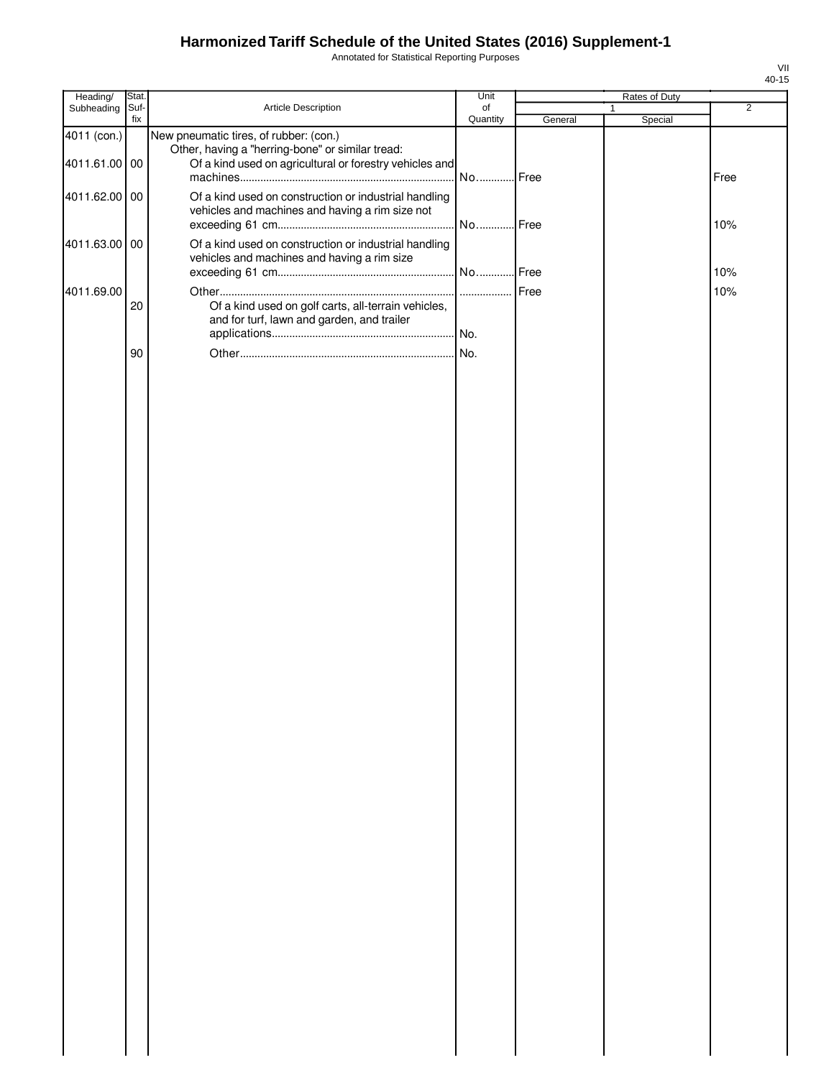Annotated for Statistical Reporting Purposes

| Heading/      | Stat.       |                                                         | Unit           |         | Rates of Duty |                |
|---------------|-------------|---------------------------------------------------------|----------------|---------|---------------|----------------|
| Subheading    | Suf-<br>fix | Article Description                                     | of<br>Quantity | General | 1<br>Special  | $\overline{2}$ |
| 4011 (con.)   |             | New pneumatic tires, of rubber: (con.)                  |                |         |               |                |
|               |             | Other, having a "herring-bone" or similar tread:        |                |         |               |                |
| 4011.61.00 00 |             | Of a kind used on agricultural or forestry vehicles and | No Free        |         |               | Free           |
| 4011.62.00 00 |             | Of a kind used on construction or industrial handling   |                |         |               |                |
|               |             | vehicles and machines and having a rim size not         |                |         |               |                |
|               |             |                                                         |                |         |               | 10%            |
| 4011.63.00 00 |             | Of a kind used on construction or industrial handling   |                |         |               |                |
|               |             | vehicles and machines and having a rim size             |                |         |               |                |
|               |             |                                                         |                |         |               | 10%            |
| 4011.69.00    | 20          | Of a kind used on golf carts, all-terrain vehicles,     |                |         |               | 10%            |
|               |             | and for turf, lawn and garden, and trailer              |                |         |               |                |
|               |             |                                                         |                |         |               |                |
|               | 90          |                                                         |                |         |               |                |
|               |             |                                                         |                |         |               |                |
|               |             |                                                         |                |         |               |                |
|               |             |                                                         |                |         |               |                |
|               |             |                                                         |                |         |               |                |
|               |             |                                                         |                |         |               |                |
|               |             |                                                         |                |         |               |                |
|               |             |                                                         |                |         |               |                |
|               |             |                                                         |                |         |               |                |
|               |             |                                                         |                |         |               |                |
|               |             |                                                         |                |         |               |                |
|               |             |                                                         |                |         |               |                |
|               |             |                                                         |                |         |               |                |
|               |             |                                                         |                |         |               |                |
|               |             |                                                         |                |         |               |                |
|               |             |                                                         |                |         |               |                |
|               |             |                                                         |                |         |               |                |
|               |             |                                                         |                |         |               |                |
|               |             |                                                         |                |         |               |                |
|               |             |                                                         |                |         |               |                |
|               |             |                                                         |                |         |               |                |
|               |             |                                                         |                |         |               |                |
|               |             |                                                         |                |         |               |                |
|               |             |                                                         |                |         |               |                |
|               |             |                                                         |                |         |               |                |
|               |             |                                                         |                |         |               |                |
|               |             |                                                         |                |         |               |                |
|               |             |                                                         |                |         |               |                |
|               |             |                                                         |                |         |               |                |
|               |             |                                                         |                |         |               |                |
|               |             |                                                         |                |         |               |                |
|               |             |                                                         |                |         |               |                |
|               |             |                                                         |                |         |               |                |
|               |             |                                                         |                |         |               |                |
|               |             |                                                         |                |         |               |                |
|               |             |                                                         |                |         |               |                |
|               |             |                                                         |                |         |               |                |
|               |             |                                                         |                |         |               |                |
|               |             |                                                         |                |         |               |                |
|               |             |                                                         |                |         |               |                |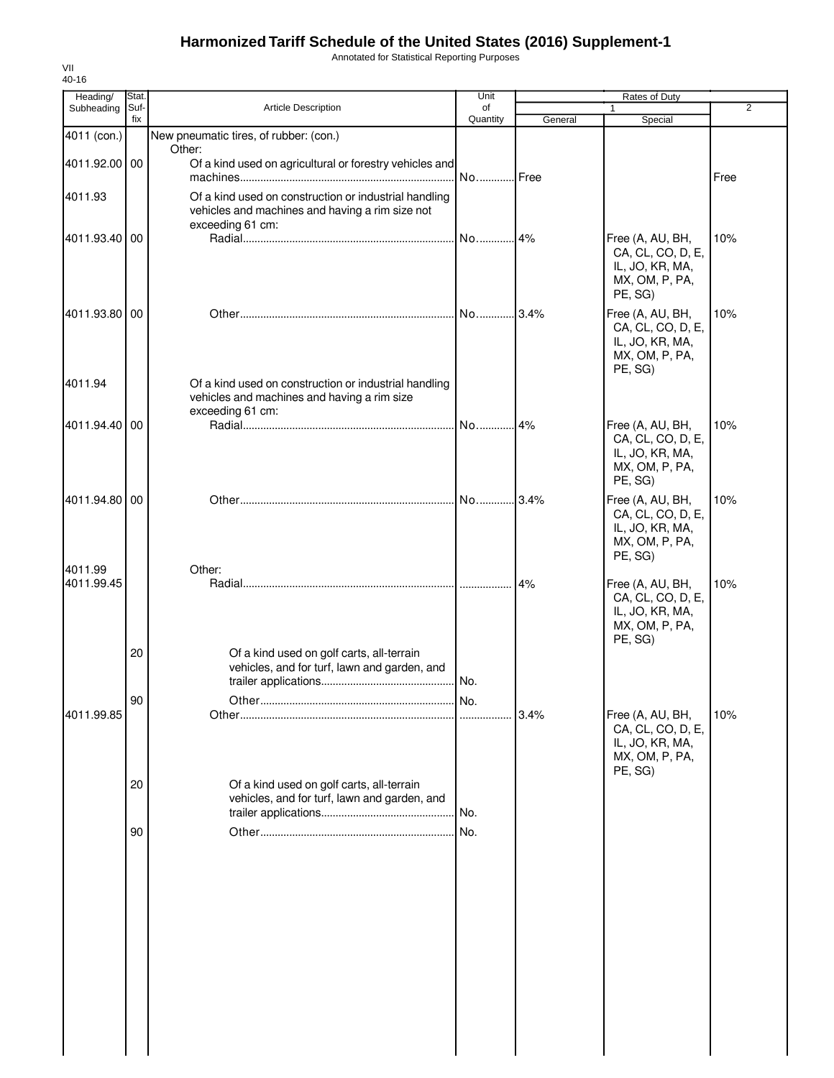Annotated for Statistical Reporting Purposes

| Heading/              | Stat.       |                                                                                                                              | Unit           |         | Rates of Duty                                                                         |                |
|-----------------------|-------------|------------------------------------------------------------------------------------------------------------------------------|----------------|---------|---------------------------------------------------------------------------------------|----------------|
| Subheading            | Suf-<br>fix | <b>Article Description</b>                                                                                                   | of<br>Quantity | General | 1<br>Special                                                                          | $\overline{2}$ |
| 4011 (con.)           |             | New pneumatic tires, of rubber: (con.)                                                                                       |                |         |                                                                                       |                |
| 4011.92.00 00         |             | Other:<br>Of a kind used on agricultural or forestry vehicles and                                                            | No Free        |         |                                                                                       | Free           |
| 4011.93               |             | Of a kind used on construction or industrial handling<br>vehicles and machines and having a rim size not<br>exceeding 61 cm: |                |         |                                                                                       |                |
| 4011.93.40 00         |             |                                                                                                                              | No 4%          |         | Free (A, AU, BH,<br>CA, CL, CO, D, E,<br>IL, JO, KR, MA,<br>MX, OM, P, PA,<br>PE, SG) | 10%            |
| 4011.93.80 00         |             |                                                                                                                              |                |         | Free (A, AU, BH,<br>CA, CL, CO, D, E,<br>IL, JO, KR, MA,<br>MX, OM, P, PA,<br>PE, SG) | 10%            |
| 4011.94               |             | Of a kind used on construction or industrial handling<br>vehicles and machines and having a rim size<br>exceeding 61 cm:     |                |         |                                                                                       |                |
| 4011.94.40 00         |             |                                                                                                                              | No 4%          |         | Free (A, AU, BH,<br>CA, CL, CO, D, E,<br>IL, JO, KR, MA,<br>MX, OM, P, PA,<br>PE, SG) | 10%            |
| 4011.94.80 00         |             |                                                                                                                              |                |         | Free (A, AU, BH,<br>CA, CL, CO, D, E,<br>IL, JO, KR, MA,<br>MX, OM, P, PA,<br>PE, SG) | 10%            |
| 4011.99<br>4011.99.45 | 20          | Other:<br>Of a kind used on golf carts, all-terrain                                                                          |                | 4%      | Free (A, AU, BH,<br>CA, CL, CO, D, E,<br>IL, JO, KR, MA,<br>MX, OM, P, PA,<br>PE, SG) | 10%            |
|                       |             | vehicles, and for turf, lawn and garden, and                                                                                 | No.            |         |                                                                                       |                |
| 4011.99.85            | 90          |                                                                                                                              |                | 3.4%    | Free (A, AU, BH,<br>CA, CL, CO, D, E,<br>IL, JO, KR, MA,<br>MX, OM, P, PA,<br>PE, SG) | 10%            |
|                       | 20          | Of a kind used on golf carts, all-terrain<br>vehicles, and for turf, lawn and garden, and                                    | No.            |         |                                                                                       |                |
|                       | 90          |                                                                                                                              | No.            |         |                                                                                       |                |
|                       |             |                                                                                                                              |                |         |                                                                                       |                |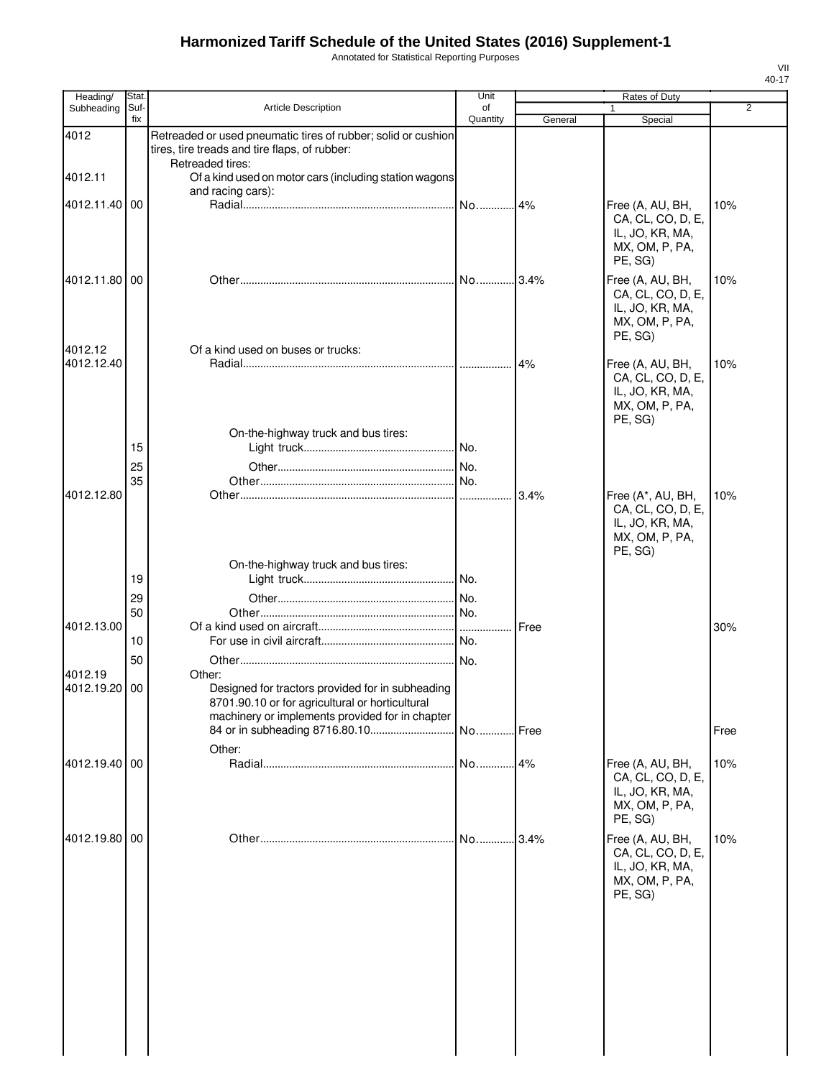Annotated for Statistical Reporting Purposes

| Heading/      | Stat.       |                                                                                                                                                        | Unit           |         | Rates of Duty                                                                          |                |
|---------------|-------------|--------------------------------------------------------------------------------------------------------------------------------------------------------|----------------|---------|----------------------------------------------------------------------------------------|----------------|
| Subheading    | Suf-<br>fix | <b>Article Description</b>                                                                                                                             | of<br>Quantity | General | 1<br>Special                                                                           | $\overline{2}$ |
| 4012          |             | Retreaded or used pneumatic tires of rubber; solid or cushion<br>tires, tire treads and tire flaps, of rubber:                                         |                |         |                                                                                        |                |
| 4012.11       |             | Retreaded tires:<br>Of a kind used on motor cars (including station wagons                                                                             |                |         |                                                                                        |                |
|               |             | and racing cars):                                                                                                                                      |                |         |                                                                                        |                |
| 4012.11.40    | 00          |                                                                                                                                                        | No14%          |         | Free (A, AU, BH,<br>CA, CL, CO, D, E,<br>IL, JO, KR, MA,<br>MX, OM, P, PA,<br>PE, SG)  | 10%            |
| 4012.11.80 00 |             |                                                                                                                                                        |                |         | Free (A, AU, BH,<br>CA, CL, CO, D, E,<br>IL, JO, KR, MA,<br>MX, OM, P, PA,<br>PE, SG)  | 10%            |
| 4012.12       |             | Of a kind used on buses or trucks:                                                                                                                     |                | 4%      |                                                                                        | 10%            |
| 4012.12.40    |             | On-the-highway truck and bus tires:                                                                                                                    |                |         | Free (A, AU, BH,<br>CA, CL, CO, D, E,<br>IL, JO, KR, MA,<br>MX, OM, P, PA,<br>PE, SG)  |                |
|               | 15          |                                                                                                                                                        |                |         |                                                                                        |                |
|               | 25          |                                                                                                                                                        | No.            |         |                                                                                        |                |
|               | 35          |                                                                                                                                                        |                |         |                                                                                        |                |
| 4012.12.80    |             |                                                                                                                                                        | .              | 3.4%    | Free (A*, AU, BH,<br>CA, CL, CO, D, E,<br>IL, JO, KR, MA,<br>MX, OM, P, PA,<br>PE, SG) | 10%            |
|               |             | On-the-highway truck and bus tires:                                                                                                                    |                |         |                                                                                        |                |
|               | 19          |                                                                                                                                                        |                |         |                                                                                        |                |
|               | 29          |                                                                                                                                                        |                |         |                                                                                        |                |
|               | 50          |                                                                                                                                                        |                |         |                                                                                        |                |
| 4012.13.00    | 10          |                                                                                                                                                        | No.            | Free    |                                                                                        | 30%            |
|               |             |                                                                                                                                                        |                |         |                                                                                        |                |
| 4012.19       | 50          | Other:                                                                                                                                                 |                |         |                                                                                        |                |
| 4012.19.20 00 |             | Designed for tractors provided for in subheading<br>8701.90.10 or for agricultural or horticultural<br>machinery or implements provided for in chapter | No Free        |         |                                                                                        | Free           |
|               |             | Other:                                                                                                                                                 |                |         |                                                                                        |                |
| 4012.19.40 00 |             |                                                                                                                                                        | No             | 4%      | Free (A, AU, BH,<br>CA, CL, CO, D, E,<br>IL, JO, KR, MA,<br>MX, OM, P, PA,<br>PE, SG)  | 10%            |
| 4012.19.80 00 |             |                                                                                                                                                        | No             | 3.4%    | Free (A, AU, BH,<br>CA, CL, CO, D, E,<br>IL, JO, KR, MA,<br>MX, OM, P, PA,<br>PE, SG)  | 10%            |
|               |             |                                                                                                                                                        |                |         |                                                                                        |                |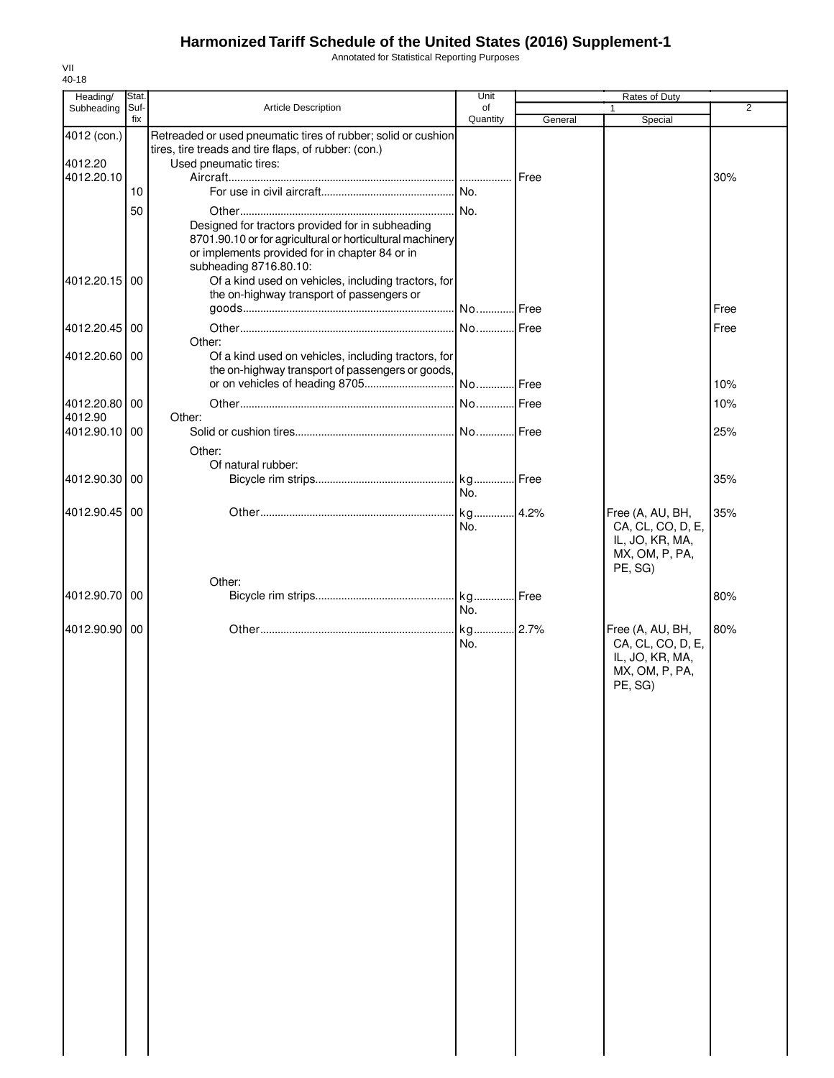Annotated for Statistical Reporting Purposes

| 40-18         |       |                                                                                                             |          |         |                   |                |
|---------------|-------|-------------------------------------------------------------------------------------------------------------|----------|---------|-------------------|----------------|
| Heading/      | Stat. |                                                                                                             | Unit     |         | Rates of Duty     |                |
| Subheading    | Suf-  | <b>Article Description</b>                                                                                  | of       |         |                   | $\overline{2}$ |
|               | fix   |                                                                                                             | Quantity | General | Special           |                |
| 4012 (con.)   |       | Retreaded or used pneumatic tires of rubber; solid or cushion                                               |          |         |                   |                |
|               |       | tires, tire treads and tire flaps, of rubber: (con.)                                                        |          |         |                   |                |
| 4012.20       |       | Used pneumatic tires:                                                                                       |          |         |                   |                |
| 4012.20.10    |       |                                                                                                             |          | Free    |                   | 30%            |
|               | 10    |                                                                                                             |          |         |                   |                |
|               | 50    |                                                                                                             |          |         |                   |                |
|               |       | Designed for tractors provided for in subheading                                                            |          |         |                   |                |
|               |       |                                                                                                             |          |         |                   |                |
|               |       | 8701.90.10 or for agricultural or horticultural machinery<br>or implements provided for in chapter 84 or in |          |         |                   |                |
|               |       |                                                                                                             |          |         |                   |                |
|               |       | subheading 8716.80.10:                                                                                      |          |         |                   |                |
| 4012.20.15    | -00   | Of a kind used on vehicles, including tractors, for                                                         |          |         |                   |                |
|               |       | the on-highway transport of passengers or                                                                   |          |         |                   |                |
|               |       |                                                                                                             |          |         |                   | Free           |
| 4012.20.45 00 |       |                                                                                                             | No Free  |         |                   | Free           |
|               |       | Other:                                                                                                      |          |         |                   |                |
| 4012.20.60 00 |       | Of a kind used on vehicles, including tractors, for                                                         |          |         |                   |                |
|               |       | the on-highway transport of passengers or goods,                                                            |          |         |                   |                |
|               |       |                                                                                                             |          |         |                   | 10%            |
|               |       |                                                                                                             |          |         |                   |                |
| 4012.20.80 00 |       |                                                                                                             | No Free  |         |                   | 10%            |
| 4012.90       |       | Other:                                                                                                      |          |         |                   |                |
| 4012.90.10 00 |       |                                                                                                             |          |         |                   | 25%            |
|               |       | Other:                                                                                                      |          |         |                   |                |
|               |       | Of natural rubber:                                                                                          |          |         |                   |                |
| 4012.90.30 00 |       |                                                                                                             |          |         |                   | 35%            |
|               |       |                                                                                                             | No.      |         |                   |                |
|               |       |                                                                                                             |          |         |                   |                |
| 4012.90.45 00 |       |                                                                                                             | kg 4.2%  |         | Free (A, AU, BH,  | 35%            |
|               |       |                                                                                                             | No.      |         | CA, CL, CO, D, E, |                |
|               |       |                                                                                                             |          |         | IL, JO, KR, MA,   |                |
|               |       |                                                                                                             |          |         | MX, OM, P, PA,    |                |
|               |       |                                                                                                             |          |         | PE, SG)           |                |
|               |       | Other:                                                                                                      |          |         |                   |                |
| 4012.90.70 00 |       |                                                                                                             |          |         |                   | 80%            |
|               |       |                                                                                                             | No.      |         |                   |                |
|               |       |                                                                                                             |          |         |                   |                |
| 4012.90.90 00 |       |                                                                                                             |          |         | Free (A, AU, BH,  | 80%            |
|               |       |                                                                                                             | No.      |         | CA, CL, CO, D, E, |                |
|               |       |                                                                                                             |          |         | IL, JO, KR, MA,   |                |
|               |       |                                                                                                             |          |         | MX, OM, P, PA,    |                |
|               |       |                                                                                                             |          |         | PE. SG)           |                |
|               |       |                                                                                                             |          |         |                   |                |
|               |       |                                                                                                             |          |         |                   |                |
|               |       |                                                                                                             |          |         |                   |                |
|               |       |                                                                                                             |          |         |                   |                |
|               |       |                                                                                                             |          |         |                   |                |
|               |       |                                                                                                             |          |         |                   |                |
|               |       |                                                                                                             |          |         |                   |                |
|               |       |                                                                                                             |          |         |                   |                |
|               |       |                                                                                                             |          |         |                   |                |
|               |       |                                                                                                             |          |         |                   |                |
|               |       |                                                                                                             |          |         |                   |                |
|               |       |                                                                                                             |          |         |                   |                |
|               |       |                                                                                                             |          |         |                   |                |
|               |       |                                                                                                             |          |         |                   |                |
|               |       |                                                                                                             |          |         |                   |                |
|               |       |                                                                                                             |          |         |                   |                |
|               |       |                                                                                                             |          |         |                   |                |
|               |       |                                                                                                             |          |         |                   |                |
|               |       |                                                                                                             |          |         |                   |                |
|               |       |                                                                                                             |          |         |                   |                |
|               |       |                                                                                                             |          |         |                   |                |
|               |       |                                                                                                             |          |         |                   |                |
|               |       |                                                                                                             |          |         |                   |                |
|               |       |                                                                                                             |          |         |                   |                |
|               |       |                                                                                                             |          |         |                   |                |
|               |       |                                                                                                             |          |         |                   |                |
|               |       |                                                                                                             |          |         |                   |                |
|               |       |                                                                                                             |          |         |                   |                |

VII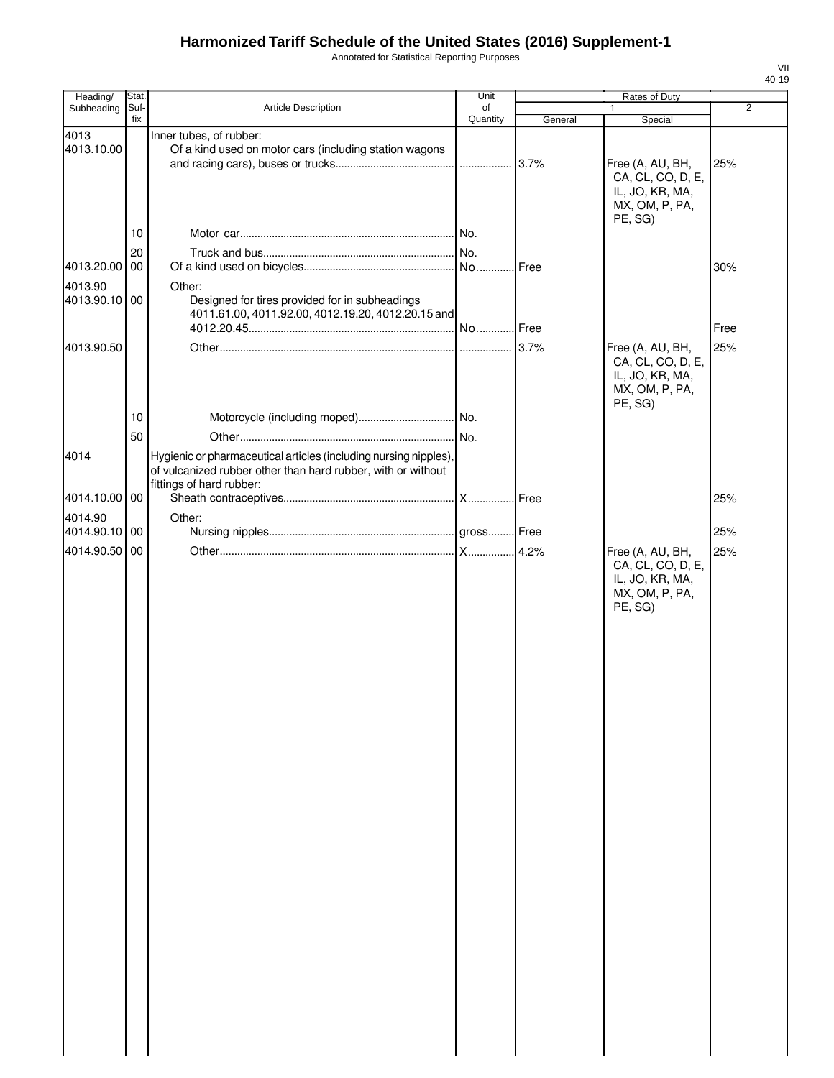Annotated for Statistical Reporting Purposes

| Heading/           | Stat.       |                                                                                                      | Unit           | <b>Rates of Duty</b> |                                                                            |                |  |
|--------------------|-------------|------------------------------------------------------------------------------------------------------|----------------|----------------------|----------------------------------------------------------------------------|----------------|--|
| Subheading         | Suf-<br>fix | Article Description                                                                                  | of<br>Quantity | General              | 1<br>Special                                                               | $\overline{2}$ |  |
| 4013<br>4013.10.00 |             | Inner tubes, of rubber:<br>Of a kind used on motor cars (including station wagons                    |                | 3.7%                 | Free (A, AU, BH,<br>CA, CL, CO, D, E,<br>IL, JO, KR, MA,<br>MX, OM, P, PA, | 25%            |  |
|                    | 10          |                                                                                                      | No.            |                      | PE, SG)                                                                    |                |  |
|                    |             |                                                                                                      |                |                      |                                                                            |                |  |
| 4013.20.00 00      | 20          |                                                                                                      | .lNo.          | Free                 |                                                                            | 30%            |  |
| 4013.90            |             | Other:                                                                                               |                |                      |                                                                            |                |  |
| 4013.90.10 00      |             | Designed for tires provided for in subheadings<br>4011.61.00, 4011.92.00, 4012.19.20, 4012.20.15 and |                |                      |                                                                            | Free           |  |
| 4013.90.50         |             |                                                                                                      |                | 3.7%                 | Free (A, AU, BH,                                                           | 25%            |  |
|                    | 10<br>50    |                                                                                                      |                |                      | CA, CL, CO, D, E,<br>IL, JO, KR, MA,<br>MX, OM, P, PA,<br>PE, SG)          |                |  |
| 4014               |             | Hygienic or pharmaceutical articles (including nursing nipples),                                     |                |                      |                                                                            |                |  |
|                    |             | of vulcanized rubber other than hard rubber, with or without<br>fittings of hard rubber:             |                |                      |                                                                            |                |  |
| 4014.10.00 00      |             |                                                                                                      |                | Free                 |                                                                            | 25%            |  |
| 4014.90            |             | Other:                                                                                               |                |                      |                                                                            |                |  |
| 4014.90.10 00      |             |                                                                                                      |                |                      |                                                                            | 25%            |  |
| 4014.90.50 00      |             |                                                                                                      |                | 4.2%                 | Free (A, AU, BH,                                                           | 25%            |  |
|                    |             |                                                                                                      |                |                      | IL, JO, KR, MA,<br>MX, OM, P, PA,<br>PE, SG)                               |                |  |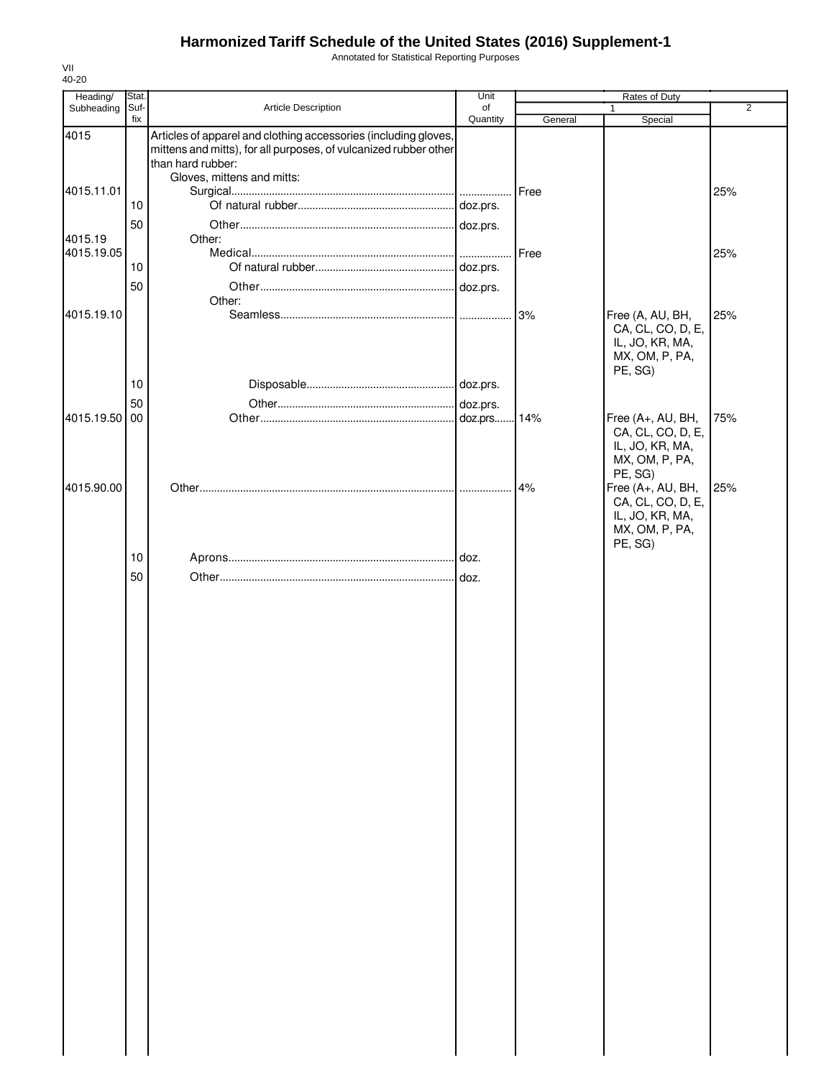Annotated for Statistical Reporting Purposes

| Heading/              | Stat. |                                                                                                                                     | Unit     | Rates of Duty |                                                                                        |                |
|-----------------------|-------|-------------------------------------------------------------------------------------------------------------------------------------|----------|---------------|----------------------------------------------------------------------------------------|----------------|
| Subheading            | Suf-  | Article Description                                                                                                                 | of       |               |                                                                                        | $\overline{2}$ |
| 4015                  | fix   | Articles of apparel and clothing accessories (including gloves,<br>mittens and mitts), for all purposes, of vulcanized rubber other | Quantity | General       | Special                                                                                |                |
|                       |       | than hard rubber:<br>Gloves, mittens and mitts:                                                                                     |          |               |                                                                                        |                |
| 4015.11.01            |       |                                                                                                                                     |          | Free          |                                                                                        | 25%            |
|                       | 10    |                                                                                                                                     |          |               |                                                                                        |                |
|                       | 50    |                                                                                                                                     | doz.prs. |               |                                                                                        |                |
| 4015.19<br>4015.19.05 |       | Other:                                                                                                                              |          | Free          |                                                                                        | 25%            |
|                       | 10    |                                                                                                                                     |          |               |                                                                                        |                |
|                       | 50    |                                                                                                                                     |          |               |                                                                                        |                |
|                       |       | Other:                                                                                                                              |          |               |                                                                                        |                |
| 4015.19.10            |       |                                                                                                                                     |          | 3%            | Free (A, AU, BH,<br>CA, CL, CO, D, E,<br>IL, JO, KR, MA,<br>MX, OM, P, PA,<br>PE, SG)  | 25%            |
|                       | 10    |                                                                                                                                     |          |               |                                                                                        |                |
|                       | 50    |                                                                                                                                     | doz.prs. |               |                                                                                        |                |
| 4015.19.50            | 00    |                                                                                                                                     | doz.prs  | 14%           | Free (A+, AU, BH,<br>CA, CL, CO, D, E,<br>IL, JO, KR, MA,<br>MX, OM, P, PA,<br>PE, SG) | 75%            |
| 4015.90.00            |       |                                                                                                                                     |          | 4%            | Free (A+, AU, BH,<br>CA, CL, CO, D, E,<br>IL, JO, KR, MA,<br>MX, OM, P, PA,            | 25%            |
|                       |       |                                                                                                                                     |          |               | PE, SG)                                                                                |                |
|                       | 10    |                                                                                                                                     |          |               |                                                                                        |                |
|                       | 50    |                                                                                                                                     |          |               |                                                                                        |                |
|                       |       |                                                                                                                                     |          |               |                                                                                        |                |
|                       |       |                                                                                                                                     |          |               |                                                                                        |                |
|                       |       |                                                                                                                                     |          |               |                                                                                        |                |
|                       |       |                                                                                                                                     |          |               |                                                                                        |                |
|                       |       |                                                                                                                                     |          |               |                                                                                        |                |
|                       |       |                                                                                                                                     |          |               |                                                                                        |                |
|                       |       |                                                                                                                                     |          |               |                                                                                        |                |
|                       |       |                                                                                                                                     |          |               |                                                                                        |                |
|                       |       |                                                                                                                                     |          |               |                                                                                        |                |
|                       |       |                                                                                                                                     |          |               |                                                                                        |                |
|                       |       |                                                                                                                                     |          |               |                                                                                        |                |
|                       |       |                                                                                                                                     |          |               |                                                                                        |                |
|                       |       |                                                                                                                                     |          |               |                                                                                        |                |
|                       |       |                                                                                                                                     |          |               |                                                                                        |                |
|                       |       |                                                                                                                                     |          |               |                                                                                        |                |
|                       |       |                                                                                                                                     |          |               |                                                                                        |                |
|                       |       |                                                                                                                                     |          |               |                                                                                        |                |
|                       |       |                                                                                                                                     |          |               |                                                                                        |                |
|                       |       |                                                                                                                                     |          |               |                                                                                        |                |
|                       |       |                                                                                                                                     |          |               |                                                                                        |                |
|                       |       |                                                                                                                                     |          |               |                                                                                        |                |
|                       |       |                                                                                                                                     |          |               |                                                                                        |                |
|                       |       |                                                                                                                                     |          |               |                                                                                        |                |
|                       |       |                                                                                                                                     |          |               |                                                                                        |                |
|                       |       |                                                                                                                                     |          |               |                                                                                        |                |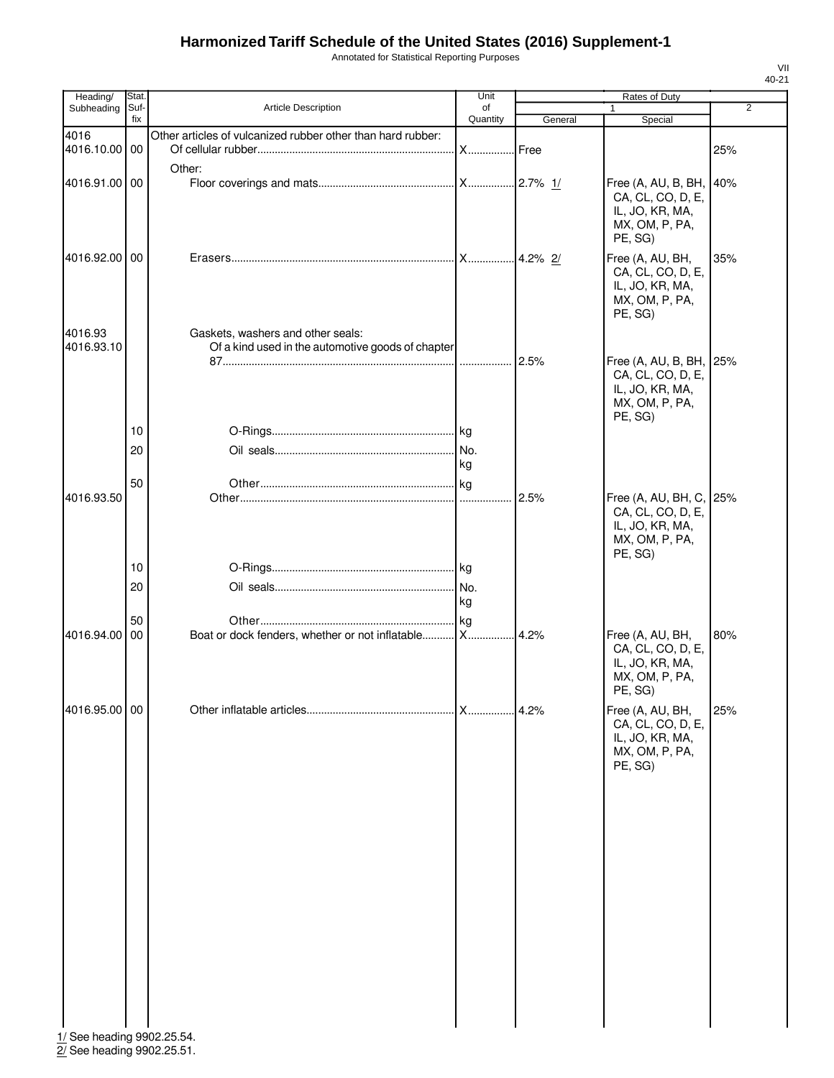Annotated for Statistical Reporting Purposes

| Heading/              | <b>Stat</b>    |                                                                                        | Unit                 |                 | Rates of Duty                                                                                    |                |
|-----------------------|----------------|----------------------------------------------------------------------------------------|----------------------|-----------------|--------------------------------------------------------------------------------------------------|----------------|
| Subheading            | Suf-           | <b>Article Description</b>                                                             | of                   |                 |                                                                                                  | $\overline{2}$ |
| 4016<br>4016.10.00 00 | fix            | Other articles of vulcanized rubber other than hard rubber:                            | Quantity<br><b>X</b> | General<br>Free | Special                                                                                          | 25%            |
| 4016.91.00 00         |                | Other:                                                                                 |                      |                 | Free (A, AU, B, BH,<br>CA, CL, CO, D, E,<br>IL, JO, KR, MA,<br>MX, OM, P, PA,                    | 40%            |
| 4016.92.00 00         |                |                                                                                        | X                    | 4.2% 2/         | PE, SG)<br>Free (A, AU, BH,<br>CA, CL, CO, D, E,<br>IL, JO, KR, MA,<br>MX, OM, P, PA,<br>PE, SG) | 35%            |
| 4016.93<br>4016.93.10 |                | Gaskets, washers and other seals:<br>Of a kind used in the automotive goods of chapter |                      | 2.5%            | Free (A, AU, B, BH, 25%<br>CA, CL, CO, D, E,<br>IL, JO, KR, MA,<br>MX, OM, P, PA,                |                |
|                       | 10<br>20<br>50 |                                                                                        | kg                   |                 | PE, SG)                                                                                          |                |
| 4016.93.50            |                |                                                                                        | .                    | 2.5%            | Free (A, AU, BH, C, 25%<br>CA, CL, CO, D, E,<br>IL, JO, KR, MA,<br>MX, OM, P, PA,<br>PE, SG)     |                |
|                       | 10<br>20       |                                                                                        | kg                   |                 |                                                                                                  |                |
| 4016.94.00 00         | 50             | Boat or dock fenders, whether or not inflatable X                                      |                      | 4.2%            | Free (A, AU, BH,<br>CA, CL, CO, D, E,<br>IL, JO, KR, MA,<br>MX, OM, P, PA,<br>PE, SG)            | 80%            |
| 4016.95.00 00         |                |                                                                                        |                      | 4.2%            | Free (A, AU, BH,<br>CA, CL, CO, D, E,<br>IL, JO, KR, MA,<br>MX, OM, P, PA,<br>PE, SG)            | 25%            |

1/ See heading 9902.25.54. 2/ See heading 9902.25.51.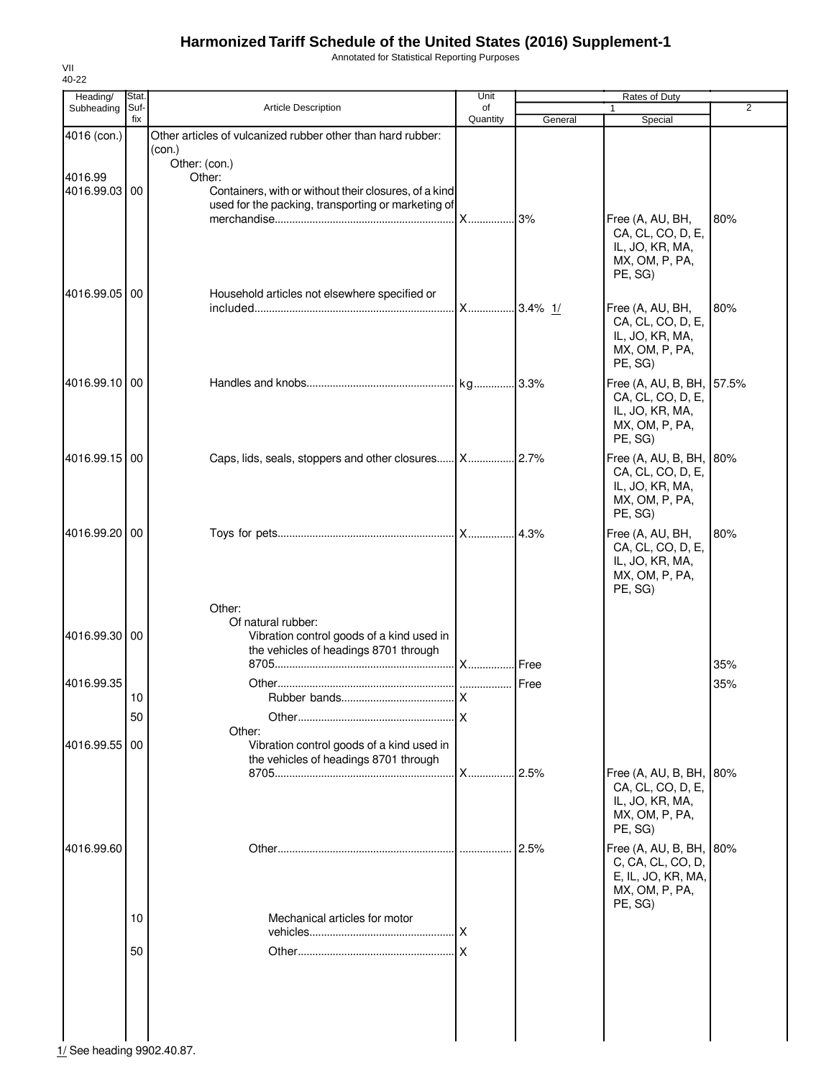Annotated for Statistical Reporting Purposes

| Heading/      | Stat.       |                                                                                    | Unit           |         | Rates of Duty                            |                |
|---------------|-------------|------------------------------------------------------------------------------------|----------------|---------|------------------------------------------|----------------|
| Subheading    | Suf-<br>fix | Article Description                                                                | of<br>Quantity | General | 1<br>Special                             | $\overline{2}$ |
| 4016 (con.)   |             | Other articles of vulcanized rubber other than hard rubber:                        |                |         |                                          |                |
|               |             | (con.)<br>Other: (con.)                                                            |                |         |                                          |                |
| 4016.99       |             | Other:                                                                             |                |         |                                          |                |
| 4016.99.03 00 |             | Containers, with or without their closures, of a kind                              |                |         |                                          |                |
|               |             | used for the packing, transporting or marketing of                                 |                |         | Free (A, AU, BH,                         | 80%            |
|               |             |                                                                                    |                |         | CA, CL, CO, D, E,                        |                |
|               |             |                                                                                    |                |         | IL, JO, KR, MA,                          |                |
|               |             |                                                                                    |                |         | MX, OM, P, PA,<br>PE, SG)                |                |
| 4016.99.05 00 |             | Household articles not elsewhere specified or                                      |                |         |                                          |                |
|               |             |                                                                                    | X 3.4% 1/      |         | Free (A, AU, BH,                         | 80%            |
|               |             |                                                                                    |                |         | CA, CL, CO, D, E,<br>IL, JO, KR, MA,     |                |
|               |             |                                                                                    |                |         | MX, OM, P, PA,                           |                |
|               |             |                                                                                    |                |         | PE, SG)                                  |                |
| 4016.99.10 00 |             |                                                                                    |                | .3.3%   | Free (A, AU, B, BH,                      | 57.5%          |
|               |             |                                                                                    |                |         | CA, CL, CO, D, E,<br>IL, JO, KR, MA,     |                |
|               |             |                                                                                    |                |         | MX, OM, P, PA,                           |                |
|               |             |                                                                                    |                |         | PE, SG)                                  |                |
| 4016.99.15 00 |             |                                                                                    |                |         | Free (A, AU, B, BH,<br>CA, CL, CO, D, E, | 80%            |
|               |             |                                                                                    |                |         | IL, JO, KR, MA,                          |                |
|               |             |                                                                                    |                |         | MX, OM, P, PA,<br>PE, SG)                |                |
| 4016.99.20100 |             |                                                                                    |                |         | Free (A, AU, BH,                         | 80%            |
|               |             |                                                                                    |                |         | CA, CL, CO, D, E,                        |                |
|               |             |                                                                                    |                |         | IL, JO, KR, MA,                          |                |
|               |             |                                                                                    |                |         | MX, OM, P, PA,<br>PE, SG)                |                |
|               |             | Other:                                                                             |                |         |                                          |                |
|               |             | Of natural rubber:                                                                 |                |         |                                          |                |
| 4016.99.30 00 |             | Vibration control goods of a kind used in<br>the vehicles of headings 8701 through |                |         |                                          |                |
|               |             |                                                                                    |                |         |                                          | 35%            |
| 4016.99.35    |             |                                                                                    |                |         |                                          | 35%            |
|               | 10          | Rubber bands.                                                                      | $\mathsf{x}$   |         |                                          |                |
|               | 50          | Other:                                                                             |                |         |                                          |                |
| 4016.99.55 00 |             | Vibration control goods of a kind used in                                          |                |         |                                          |                |
|               |             | the vehicles of headings 8701 through                                              |                |         |                                          |                |
|               |             |                                                                                    | <b>X</b>       | 2.5%    | Free (A, AU, B, BH,<br>CA, CL, CO, D, E, | 80%            |
|               |             |                                                                                    |                |         | IL, JO, KR, MA,                          |                |
|               |             |                                                                                    |                |         | MX, OM, P, PA,                           |                |
|               |             |                                                                                    |                |         | PE, SG)                                  |                |
| 4016.99.60    |             |                                                                                    |                | 2.5%    | Free (A, AU, B, BH,<br>C, CA, CL, CO, D, | 80%            |
|               |             |                                                                                    |                |         | E, IL, JO, KR, MA,                       |                |
|               |             |                                                                                    |                |         | MX, OM, P, PA,<br>PE, SG)                |                |
|               | 10          | Mechanical articles for motor                                                      |                |         |                                          |                |
|               |             |                                                                                    | .IX            |         |                                          |                |
|               | 50          |                                                                                    | .lx            |         |                                          |                |
|               |             |                                                                                    |                |         |                                          |                |
|               |             |                                                                                    |                |         |                                          |                |
|               |             |                                                                                    |                |         |                                          |                |
|               |             |                                                                                    |                |         |                                          |                |

VII 40-22

 $\frac{1}{2}$  See heading 9902.40.87.